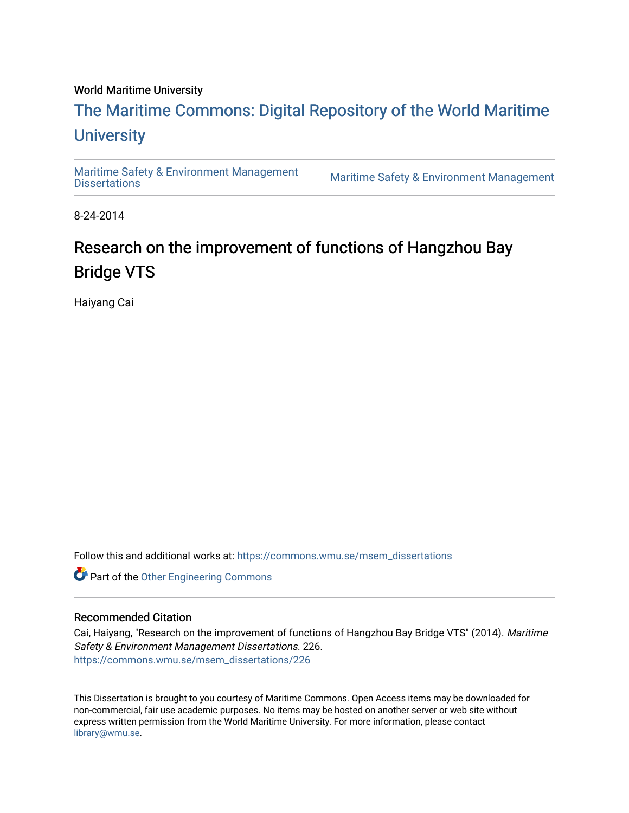#### World Maritime University

## [The Maritime Commons: Digital Repository of the World Maritime](https://commons.wmu.se/)  **University**

[Maritime Safety & Environment Management](https://commons.wmu.se/msem_dissertations)

Maritime Safety & Environment Management

8-24-2014

## Research on the improvement of functions of Hangzhou Bay Bridge VTS

Haiyang Cai

Follow this and additional works at: [https://commons.wmu.se/msem\\_dissertations](https://commons.wmu.se/msem_dissertations?utm_source=commons.wmu.se%2Fmsem_dissertations%2F226&utm_medium=PDF&utm_campaign=PDFCoverPages)

Part of the [Other Engineering Commons](http://network.bepress.com/hgg/discipline/315?utm_source=commons.wmu.se%2Fmsem_dissertations%2F226&utm_medium=PDF&utm_campaign=PDFCoverPages) 

#### Recommended Citation

Cai, Haiyang, "Research on the improvement of functions of Hangzhou Bay Bridge VTS" (2014). Maritime Safety & Environment Management Dissertations. 226. [https://commons.wmu.se/msem\\_dissertations/226](https://commons.wmu.se/msem_dissertations/226?utm_source=commons.wmu.se%2Fmsem_dissertations%2F226&utm_medium=PDF&utm_campaign=PDFCoverPages)

This Dissertation is brought to you courtesy of Maritime Commons. Open Access items may be downloaded for non-commercial, fair use academic purposes. No items may be hosted on another server or web site without express written permission from the World Maritime University. For more information, please contact [library@wmu.se](mailto:library@wmu.edu).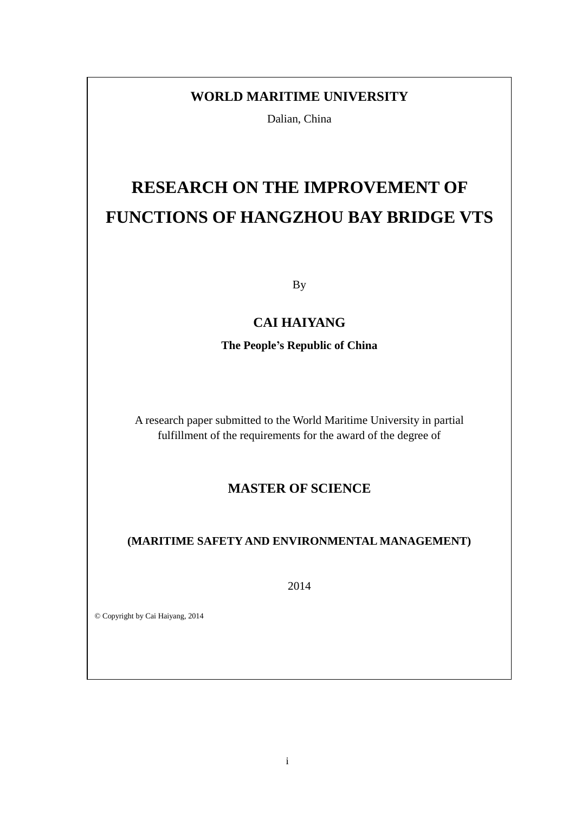### **WORLD MARITIME UNIVERSITY**

Dalian, China

# **RESEARCH ON THE IMPROVEMENT OF FUNCTIONS OF HANGZHOU BAY BRIDGE VTS**

By

### **CAI HAIYANG**

**The People's Republic of China**

A research paper submitted to the World Maritime University in partial fulfillment of the requirements for the award of the degree of

### **MASTER OF SCIENCE**

### **(MARITIME SAFETY AND ENVIRONMENTAL MANAGEMENT)**

2014

© Copyright by Cai Haiyang, 2014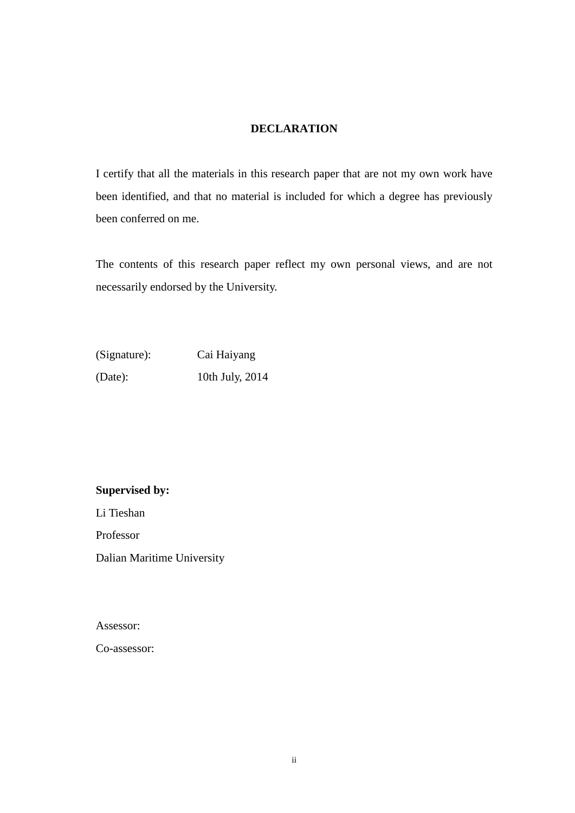#### **DECLARATION**

I certify that all the materials in this research paper that are not my own work have been identified, and that no material is included for which a degree has previously been conferred on me.

The contents of this research paper reflect my own personal views, and are not necessarily endorsed by the University.

| (Signature): | Cai Haiyang     |
|--------------|-----------------|
| (Date):      | 10th July, 2014 |

#### **Supervised by:**

Li Tieshan

Professor

Dalian Maritime University

Assessor:

Co-assessor: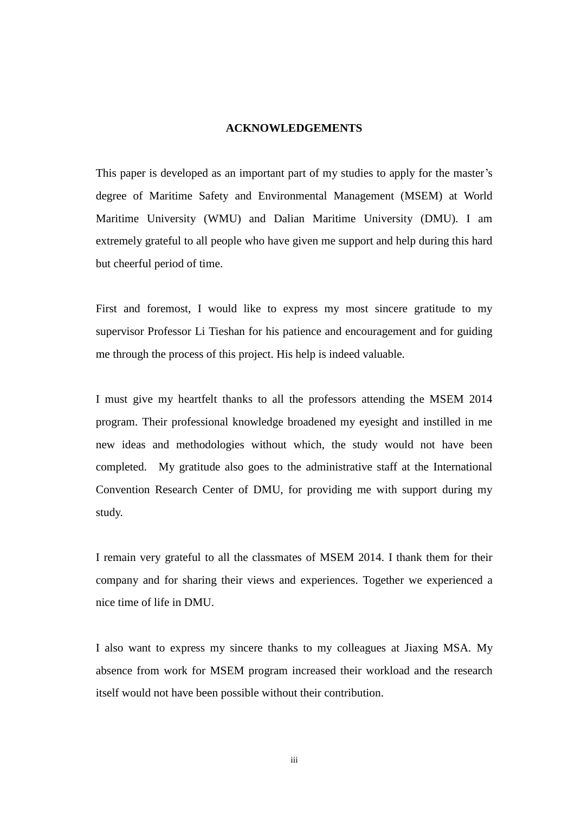#### **ACKNOWLEDGEMENTS**

This paper is developed as an important part of my studies to apply for the master's degree of Maritime Safety and Environmental Management (MSEM) at World Maritime University (WMU) and Dalian Maritime University (DMU). I am extremely grateful to all people who have given me support and help during this hard but cheerful period of time.

First and foremost, I would like to express my most sincere gratitude to my supervisor Professor Li Tieshan for his patience and encouragement and for guiding me through the process of this project. His help is indeed valuable.

I must give my heartfelt thanks to all the professors attending the MSEM 2014 program. Their professional knowledge broadened my eyesight and instilled in me new ideas and methodologies without which, the study would not have been completed. My gratitude also goes to the administrative staff at the International Convention Research Center of DMU, for providing me with support during my study.

I remain very grateful to all the classmates of MSEM 2014. I thank them for their company and for sharing their views and experiences. Together we experienced a nice time of life in DMU.

I also want to express my sincere thanks to my colleagues at Jiaxing MSA. My absence from work for MSEM program increased their workload and the research itself would not have been possible without their contribution.

iii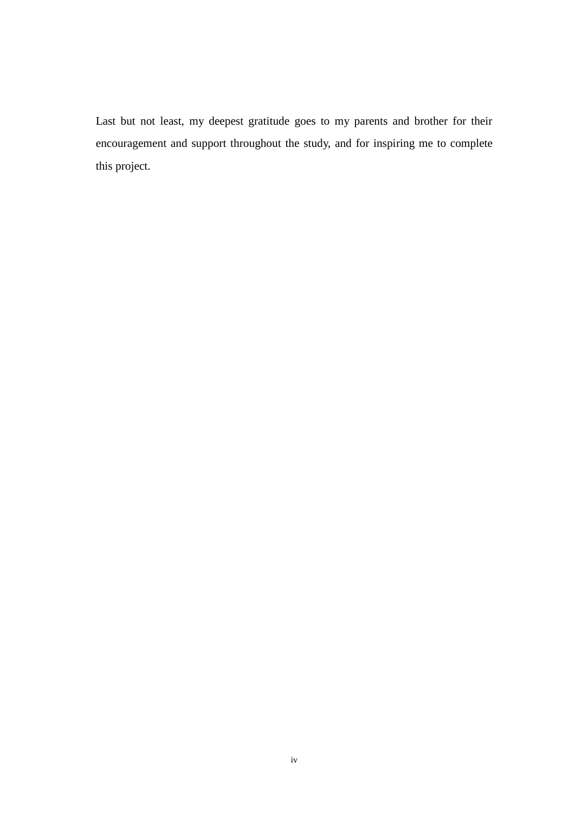Last but not least, my deepest gratitude goes to my parents and brother for their encouragement and support throughout the study, and for inspiring me to complete this project.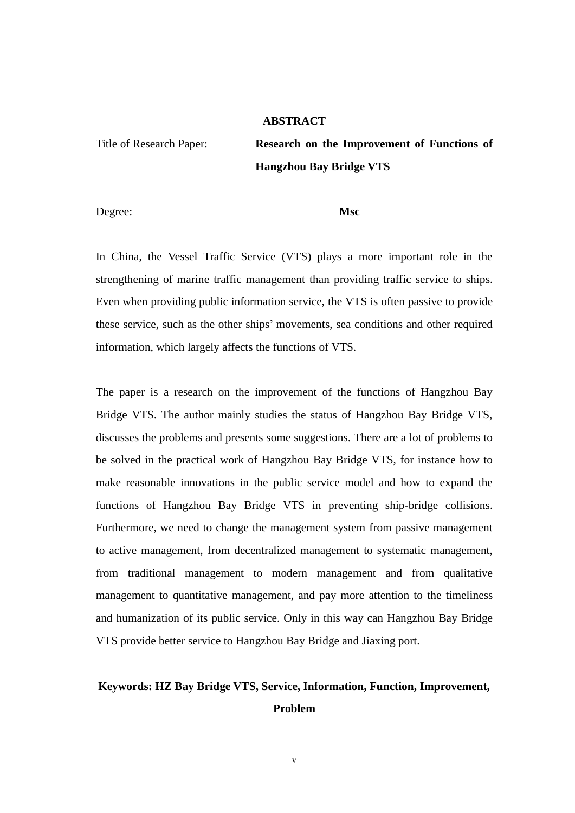#### **ABSTRACT**

Title of Research Paper: **Research on the Improvement of Functions of Hangzhou Bay Bridge VTS**

Degree: **Msc**

In China, the Vessel Traffic Service (VTS) plays a more important role in the strengthening of marine traffic management than providing traffic service to ships. Even when providing public information service, the VTS is often passive to provide these service, such as the other ships" movements, sea conditions and other required information, which largely affects the functions of VTS.

The paper is a research on the improvement of the functions of Hangzhou Bay Bridge VTS. The author mainly studies the status of Hangzhou Bay Bridge VTS, discusses the problems and presents some suggestions. There are a lot of problems to be solved in the practical work of Hangzhou Bay Bridge VTS, for instance how to make reasonable innovations in the public service model and how to expand the functions of Hangzhou Bay Bridge VTS in preventing ship-bridge collisions. Furthermore, we need to change the management system from passive management to active management, from decentralized management to systematic management, from traditional management to modern management and from qualitative management to quantitative management, and pay more attention to the timeliness and humanization of its public service. Only in this way can Hangzhou Bay Bridge VTS provide better service to Hangzhou Bay Bridge and Jiaxing port.

### **Keywords: HZ Bay Bridge VTS, Service, Information, Function, Improvement, Problem**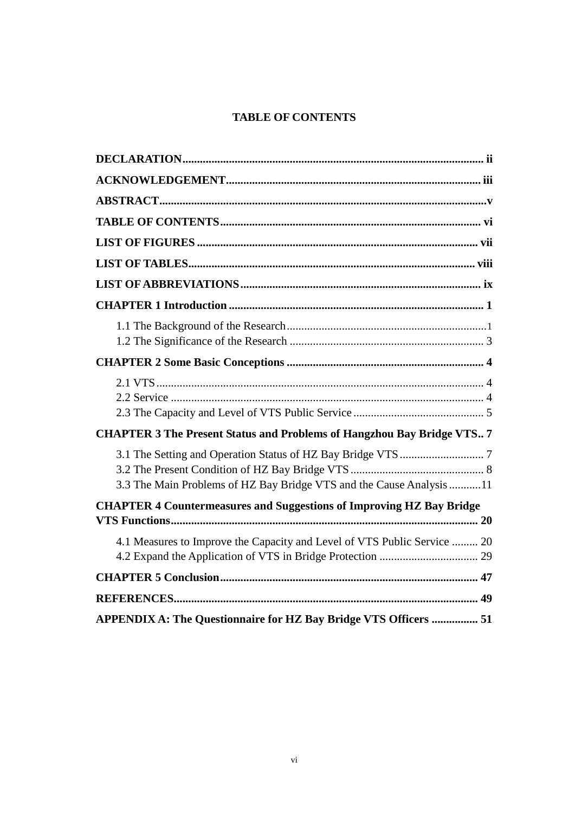#### **TABLE OF CONTENTS**

| <b>CHAPTER 3 The Present Status and Problems of Hangzhou Bay Bridge VTS 7</b> |
|-------------------------------------------------------------------------------|
| 3.3 The Main Problems of HZ Bay Bridge VTS and the Cause Analysis 11          |
| <b>CHAPTER 4 Countermeasures and Suggestions of Improving HZ Bay Bridge</b>   |
| 4.1 Measures to Improve the Capacity and Level of VTS Public Service  20      |
|                                                                               |
|                                                                               |
| APPENDIX A: The Questionnaire for HZ Bay Bridge VTS Officers  51              |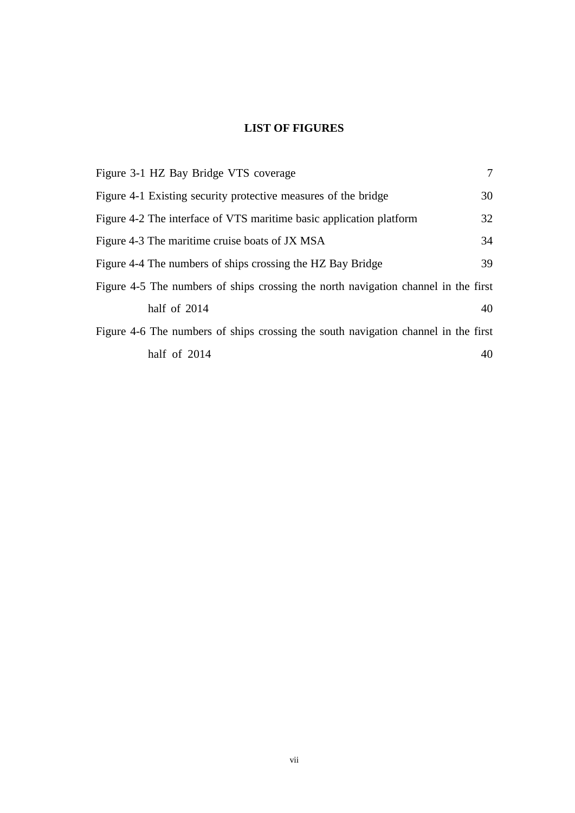### **LIST OF FIGURES**

| Figure 3-1 HZ Bay Bridge VTS coverage                                              | $\tau$ |
|------------------------------------------------------------------------------------|--------|
| Figure 4-1 Existing security protective measures of the bridge                     | 30     |
| Figure 4-2 The interface of VTS maritime basic application platform                | 32     |
| Figure 4-3 The maritime cruise boats of JX MSA                                     | 34     |
| Figure 4-4 The numbers of ships crossing the HZ Bay Bridge                         | 39     |
| Figure 4-5 The numbers of ships crossing the north navigation channel in the first |        |
| half of 2014                                                                       | 40     |
| Figure 4-6 The numbers of ships crossing the south navigation channel in the first |        |
| half of 2014                                                                       | 40     |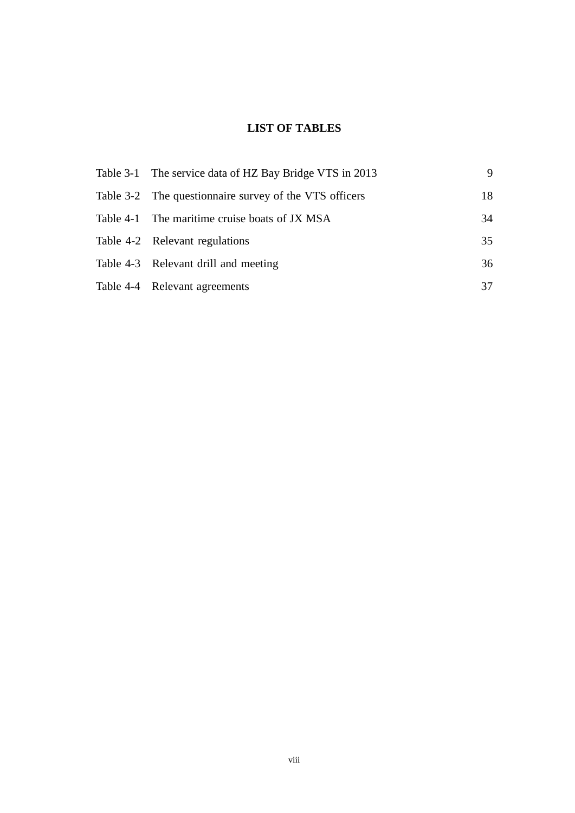### **LIST OF TABLES**

| Table 3-1 The service data of HZ Bay Bridge VTS in 2013 | 9  |
|---------------------------------------------------------|----|
| Table 3-2 The questionnaire survey of the VTS officers  | 18 |
| Table 4-1 The maritime cruise boats of JX MSA           | 34 |
| Table 4-2 Relevant regulations                          | 35 |
| Table 4-3 Relevant drill and meeting                    | 36 |
| Table 4-4 Relevant agreements                           | 37 |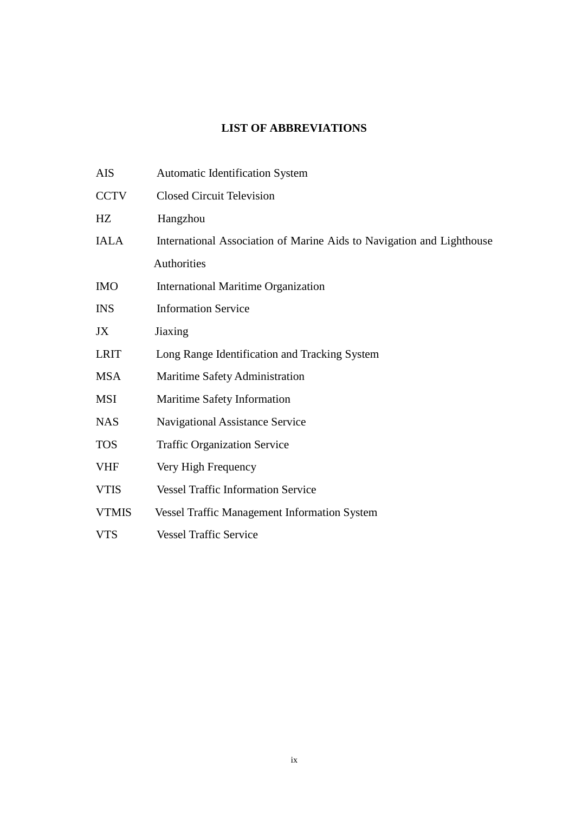### **LIST OF ABBREVIATIONS**

| AIS          | <b>Automatic Identification System</b>                                |
|--------------|-----------------------------------------------------------------------|
| <b>CCTV</b>  | <b>Closed Circuit Television</b>                                      |
| HZ           | Hangzhou                                                              |
| <b>IALA</b>  | International Association of Marine Aids to Navigation and Lighthouse |
|              | Authorities                                                           |
| <b>IMO</b>   | <b>International Maritime Organization</b>                            |
| <b>INS</b>   | <b>Information Service</b>                                            |
| JX           | Jiaxing                                                               |
| <b>LRIT</b>  | Long Range Identification and Tracking System                         |
| <b>MSA</b>   | Maritime Safety Administration                                        |
| <b>MSI</b>   | Maritime Safety Information                                           |
| <b>NAS</b>   | <b>Navigational Assistance Service</b>                                |
| <b>TOS</b>   | <b>Traffic Organization Service</b>                                   |
| <b>VHF</b>   | Very High Frequency                                                   |
| <b>VTIS</b>  | <b>Vessel Traffic Information Service</b>                             |
| <b>VTMIS</b> | <b>Vessel Traffic Management Information System</b>                   |
| <b>VTS</b>   | <b>Vessel Traffic Service</b>                                         |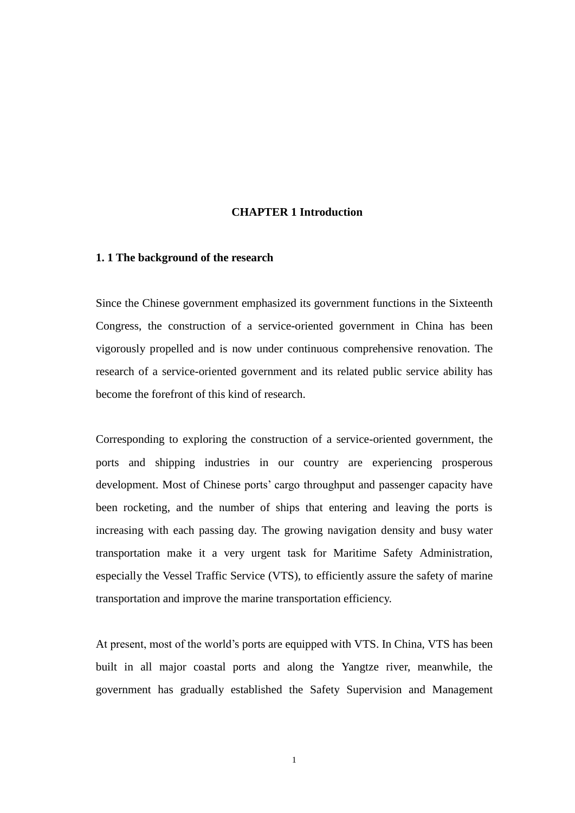#### **CHAPTER 1 Introduction**

#### **1. 1 The background of the research**

Since the Chinese government emphasized its government functions in the Sixteenth Congress, the construction of a service-oriented government in China has been vigorously propelled and is now under continuous comprehensive renovation. The research of a service-oriented government and its related public service ability has become the forefront of this kind of research.

Corresponding to exploring the construction of a service-oriented government, the ports and shipping industries in our country are experiencing prosperous development. Most of Chinese ports' cargo throughput and passenger capacity have been rocketing, and the number of ships that entering and leaving the ports is increasing with each passing day. The growing navigation density and busy water transportation make it a very urgent task for Maritime Safety Administration, especially the Vessel Traffic Service (VTS), to efficiently assure the safety of marine transportation and improve the marine transportation efficiency.

At present, most of the world"s ports are equipped with VTS. In China, VTS has been built in all major coastal ports and along the Yangtze river, meanwhile, the government has gradually established the Safety Supervision and Management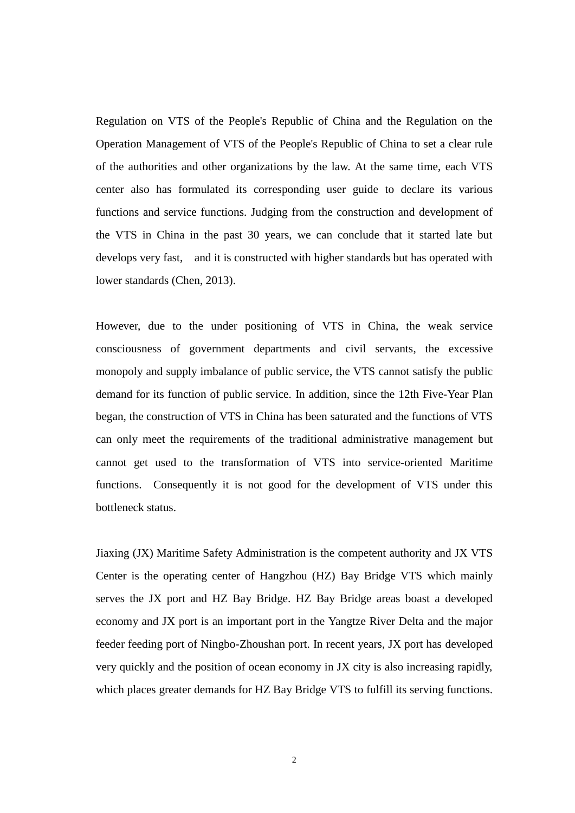Regulation on VTS of the People's Republic of China and the Regulation on the Operation Management of VTS of the People's Republic of China to set a clear rule of the authorities and other organizations by the law. At the same time, each VTS center also has formulated its corresponding user guide to declare its various functions and service functions. Judging from the construction and development of the VTS in China in the past 30 years, we can conclude that it started late but develops very fast, and it is constructed with higher standards but has operated with lower standards (Chen, 2013).

However, due to the under positioning of VTS in China, the weak service consciousness of government departments and civil servants, the excessive monopoly and supply imbalance of public service, the VTS cannot satisfy the public demand for its function of public service. In addition, since the 12th Five-Year Plan began, the construction of VTS in China has been saturated and the functions of VTS can only meet the requirements of the traditional administrative management but cannot get used to the transformation of VTS into service-oriented Maritime functions. Consequently it is not good for the development of VTS under this bottleneck status.

Jiaxing (JX) Maritime Safety Administration is the competent authority and JX VTS Center is the operating center of Hangzhou (HZ) Bay Bridge VTS which mainly serves the JX port and HZ Bay Bridge. HZ Bay Bridge areas boast a developed economy and JX port is an important port in the Yangtze River Delta and the major feeder feeding port of Ningbo-Zhoushan port. In recent years, JX port has developed very quickly and the position of ocean economy in JX city is also increasing rapidly, which places greater demands for HZ Bay Bridge VTS to fulfill its serving functions.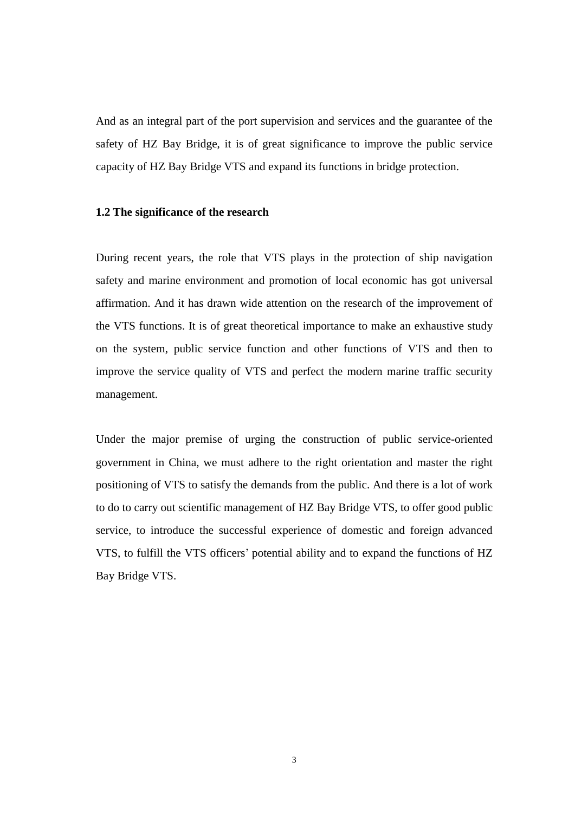And as an integral part of the port supervision and services and the guarantee of the safety of HZ Bay Bridge, it is of great significance to improve the public service capacity of HZ Bay Bridge VTS and expand its functions in bridge protection.

#### **1.2 The significance of the research**

During recent years, the role that VTS plays in the protection of ship navigation safety and marine environment and promotion of local economic has got universal affirmation. And it has drawn wide attention on the research of the improvement of the VTS functions. It is of great theoretical importance to make an exhaustive study on the system, public service function and other functions of VTS and then to improve the service quality of VTS and perfect the modern marine traffic security management.

Under the major premise of urging the construction of public service-oriented government in China, we must adhere to the right orientation and master the right positioning of VTS to satisfy the demands from the public. And there is a lot of work to do to carry out scientific management of HZ Bay Bridge VTS, to offer good public service, to introduce the successful experience of domestic and foreign advanced VTS, to fulfill the VTS officers" potential ability and to expand the functions of HZ Bay Bridge VTS.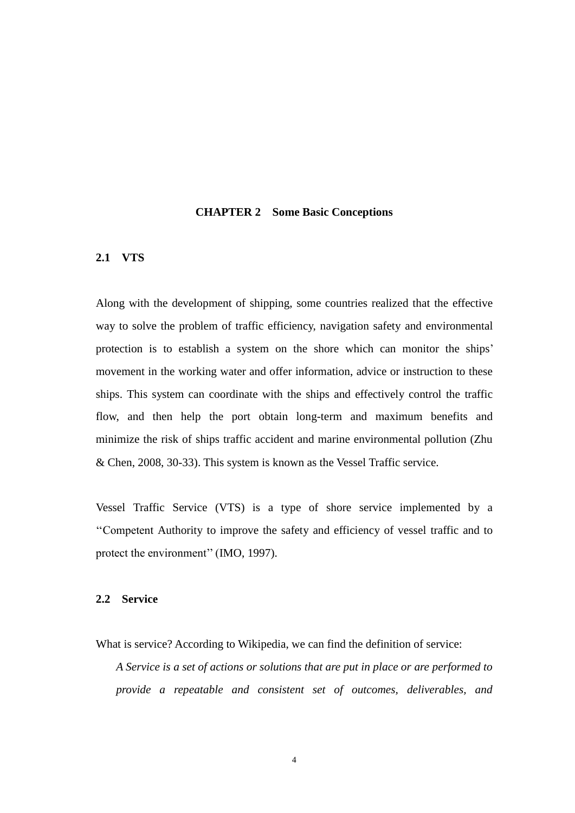#### **CHAPTER 2 Some Basic Conceptions**

#### **2.1 VTS**

Along with the development of shipping, some countries realized that the effective way to solve the problem of traffic efficiency, navigation safety and environmental protection is to establish a system on the shore which can monitor the ships' movement in the working water and offer information, advice or instruction to these ships. This system can coordinate with the ships and effectively control the traffic flow, and then help the port obtain long-term and maximum benefits and minimize the risk of ships traffic accident and marine environmental pollution (Zhu & Chen, 2008, 30-33). This system is known as the Vessel Traffic service.

Vessel Traffic Service (VTS) is a type of shore service implemented by a ""Competent Authority to improve the safety and efficiency of vessel traffic and to protect the environment" (IMO, 1997).

#### **2.2 Service**

What is service? According to Wikipedia, we can find the definition of service:

*A Service is a set of actions or solutions that are put in place or are performed to provide a repeatable and consistent set of outcomes, deliverables, and*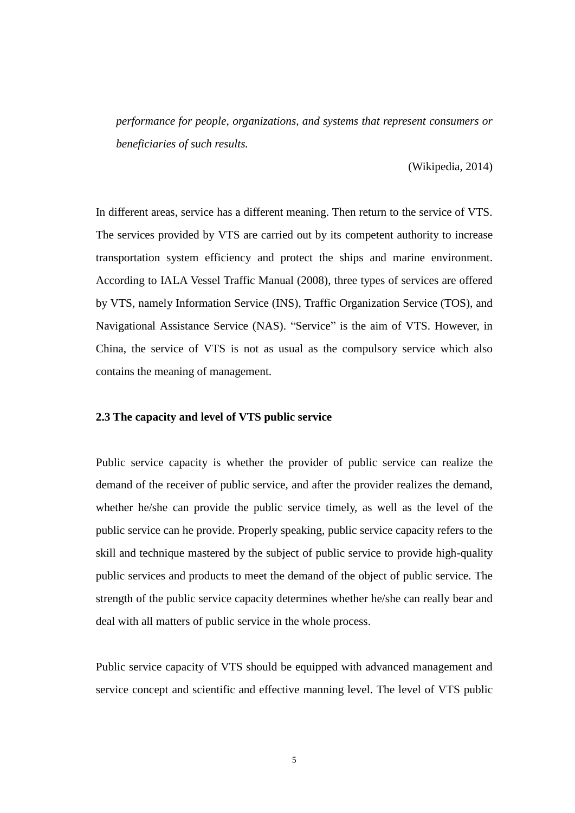*performance for people, organizations, and systems that represent consumers or beneficiaries of such results.*

(Wikipedia, 2014)

In different areas, service has a different meaning. Then return to the service of VTS. The services provided by VTS are carried out by its competent authority to increase transportation system efficiency and protect the ships and marine environment. According to IALA Vessel Traffic Manual (2008), three types of services are offered by VTS, namely Information Service (INS), Traffic Organization Service (TOS), and Navigational Assistance Service (NAS). "Service" is the aim of VTS. However, in China, the service of VTS is not as usual as the compulsory service which also contains the meaning of management.

#### **2.3 The capacity and level of VTS public service**

Public service capacity is whether the provider of public service can realize the demand of the receiver of public service, and after the provider realizes the demand, whether he/she can provide the public service timely, as well as the level of the public service can he provide. Properly speaking, public service capacity refers to the skill and technique mastered by the subject of public service to provide high-quality public services and products to meet the demand of the object of public service. The strength of the public service capacity determines whether he/she can really bear and deal with all matters of public service in the whole process.

Public service capacity of VTS should be equipped with advanced management and service concept and scientific and effective manning level. The level of VTS public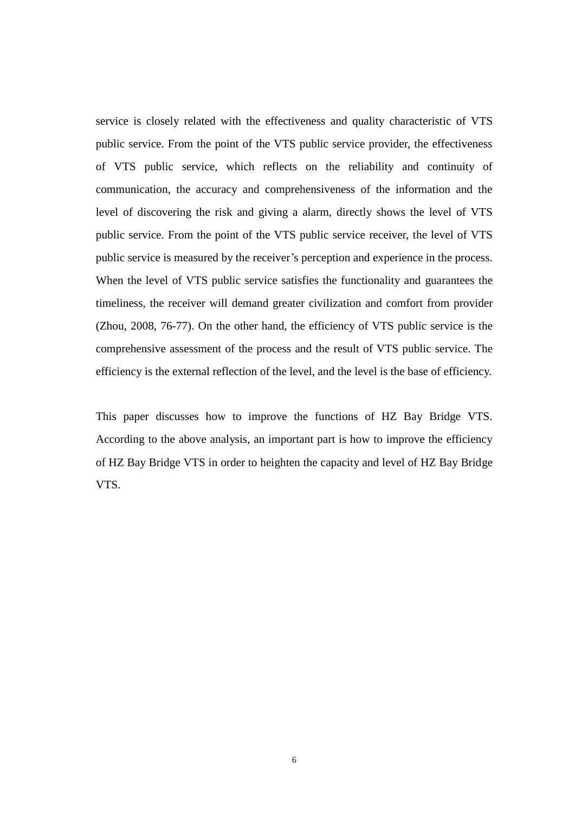service is closely related with the effectiveness and quality characteristic of VTS public service. From the point of the VTS public service provider, the effectiveness of VTS public service, which reflects on the reliability and continuity of communication, the accuracy and comprehensiveness of the information and the level of discovering the risk and giving a alarm, directly shows the level of VTS public service. From the point of the VTS public service receiver, the level of VTS public service is measured by the receiver's perception and experience in the process. When the level of VTS public service satisfies the functionality and guarantees the timeliness, the receiver will demand greater civilization and comfort from provider (Zhou, 2008, 76-77). On the other hand, the efficiency of VTS public service is the comprehensive assessment of the process and the result of VTS public service. The efficiency is the external reflection of the level, and the level is the base of efficiency.

This paper discusses how to improve the functions of HZ Bay Bridge VTS. According to the above analysis, an important part is how to improve the efficiency of HZ Bay Bridge VTS in order to heighten the capacity and level of HZ Bay Bridge VTS.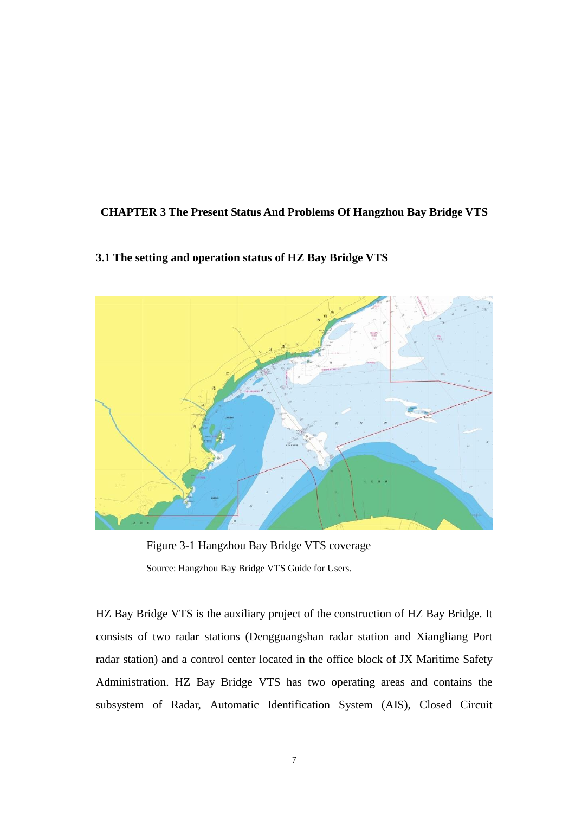#### **CHAPTER 3 The Present Status And Problems Of Hangzhou Bay Bridge VTS**

#### **3.1 The setting and operation status of HZ Bay Bridge VTS**



Figure 3-1 Hangzhou Bay Bridge VTS coverage Source: Hangzhou Bay Bridge VTS Guide for Users.

HZ Bay Bridge VTS is the auxiliary project of the construction of HZ Bay Bridge. It consists of two radar stations (Dengguangshan radar station and Xiangliang Port radar station) and a control center located in the office block of JX Maritime Safety Administration. HZ Bay Bridge VTS has two operating areas and contains the subsystem of Radar, Automatic Identification System (AIS), Closed Circuit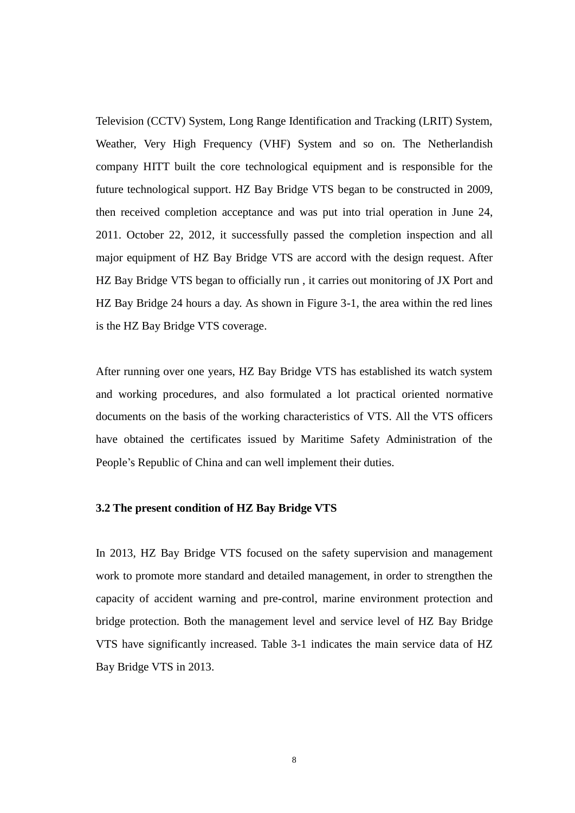Television (CCTV) System, Long Range Identification and Tracking (LRIT) System, Weather, Very High Frequency (VHF) System and so on. The Netherlandish company HITT built the core technological equipment and is responsible for the future technological support. HZ Bay Bridge VTS began to be constructed in 2009, then received completion acceptance and was put into trial operation in June 24, 2011. October 22, 2012, it successfully passed the completion inspection and all major equipment of HZ Bay Bridge VTS are accord with the design request. After HZ Bay Bridge VTS began to officially run , it carries out monitoring of JX Port and HZ Bay Bridge 24 hours a day. As shown in Figure 3-1, the area within the red lines is the HZ Bay Bridge VTS coverage.

After running over one years, HZ Bay Bridge VTS has established its watch system and working procedures, and also formulated a lot practical oriented normative documents on the basis of the working characteristics of VTS. All the VTS officers have obtained the certificates issued by Maritime Safety Administration of the People's Republic of China and can well implement their duties.

#### **3.2 The present condition of HZ Bay Bridge VTS**

In 2013, HZ Bay Bridge VTS focused on the safety supervision and management work to promote more standard and detailed management, in order to strengthen the capacity of accident warning and pre-control, marine environment protection and bridge protection. Both the management level and service level of HZ Bay Bridge VTS have significantly increased. Table 3-1 indicates the main service data of HZ Bay Bridge VTS in 2013.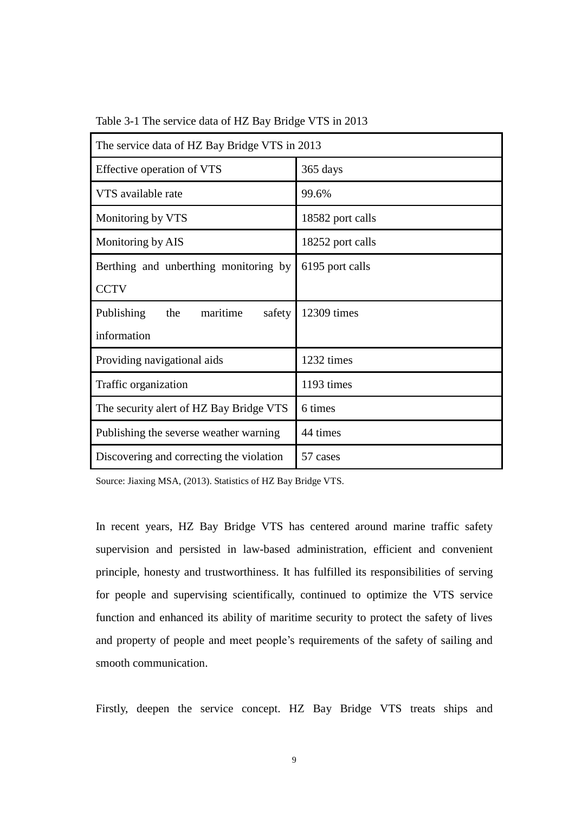| The service data of HZ Bay Bridge VTS in 2013 |                  |  |  |  |
|-----------------------------------------------|------------------|--|--|--|
| Effective operation of VTS                    | 365 days         |  |  |  |
| VTS available rate                            | 99.6%            |  |  |  |
| Monitoring by VTS                             | 18582 port calls |  |  |  |
| Monitoring by AIS                             | 18252 port calls |  |  |  |
| Berthing and unberthing monitoring by         | 6195 port calls  |  |  |  |
| <b>CCTV</b>                                   |                  |  |  |  |
| maritime<br>Publishing<br>the<br>safety       | 12309 times      |  |  |  |
| information                                   |                  |  |  |  |
| Providing navigational aids                   | 1232 times       |  |  |  |
| Traffic organization                          | 1193 times       |  |  |  |
| The security alert of HZ Bay Bridge VTS       | 6 times          |  |  |  |
| Publishing the severse weather warning        | 44 times         |  |  |  |
| Discovering and correcting the violation      | 57 cases         |  |  |  |

Table 3-1 The service data of HZ Bay Bridge VTS in 2013

Source: Jiaxing MSA, (2013). Statistics of HZ Bay Bridge VTS.

In recent years, HZ Bay Bridge VTS has centered around marine traffic safety supervision and persisted in law-based administration, efficient and convenient principle, honesty and trustworthiness. It has fulfilled its responsibilities of serving for people and supervising scientifically, continued to optimize the VTS service function and enhanced its ability of maritime security to protect the safety of lives and property of people and meet people"s requirements of the safety of sailing and smooth communication.

Firstly, deepen the service concept. HZ Bay Bridge VTS treats ships and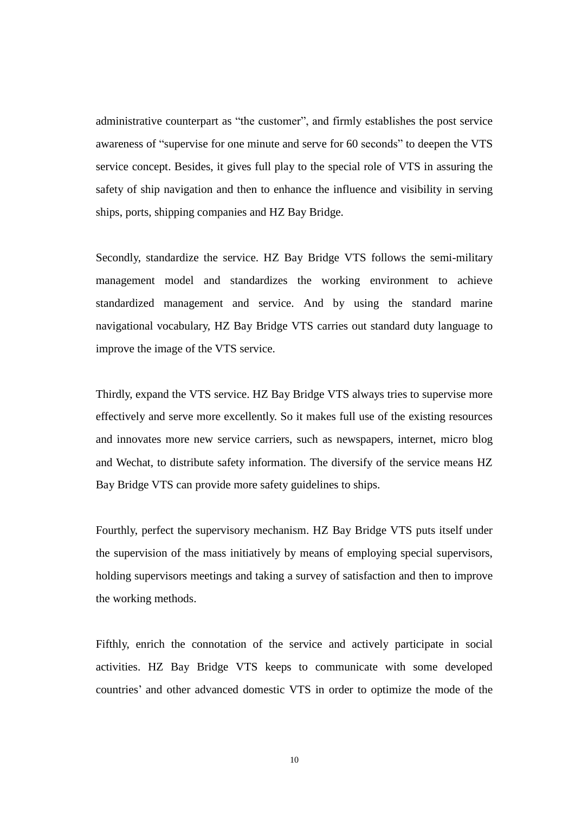administrative counterpart as "the customer", and firmly establishes the post service awareness of "supervise for one minute and serve for 60 seconds" to deepen the VTS service concept. Besides, it gives full play to the special role of VTS in assuring the safety of ship navigation and then to enhance the influence and visibility in serving ships, ports, shipping companies and HZ Bay Bridge.

Secondly, standardize the service. HZ Bay Bridge VTS follows the semi-military management model and standardizes the working environment to achieve standardized management and service. And by using the standard marine navigational vocabulary, HZ Bay Bridge VTS carries out standard duty language to improve the image of the VTS service.

Thirdly, expand the VTS service. HZ Bay Bridge VTS always tries to supervise more effectively and serve more excellently. So it makes full use of the existing resources and innovates more new service carriers, such as newspapers, internet, micro blog and Wechat, to distribute safety information. The diversify of the service means HZ Bay Bridge VTS can provide more safety guidelines to ships.

Fourthly, perfect the supervisory mechanism. HZ Bay Bridge VTS puts itself under the supervision of the mass initiatively by means of employing special supervisors, holding supervisors meetings and taking a survey of satisfaction and then to improve the working methods.

Fifthly, enrich the connotation of the service and actively participate in social activities. HZ Bay Bridge VTS keeps to communicate with some developed countries" and other advanced domestic VTS in order to optimize the mode of the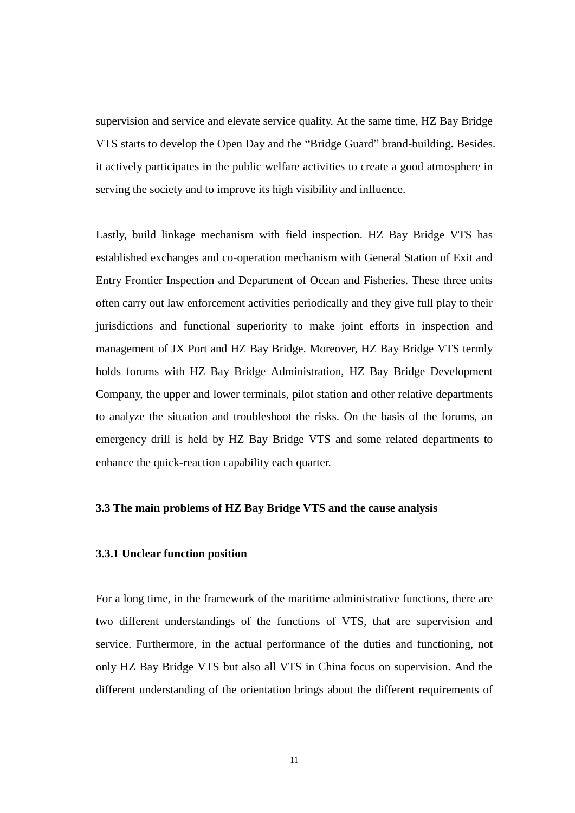supervision and service and elevate service quality. At the same time, HZ Bay Bridge VTS starts to develop the Open Day and the "Bridge Guard" brand-building. Besides. it actively participates in the public welfare activities to create a good atmosphere in serving the society and to improve its high visibility and influence.

Lastly, build linkage mechanism with field inspection. HZ Bay Bridge VTS has established exchanges and co-operation mechanism with General Station of Exit and Entry Frontier Inspection and Department of Ocean and Fisheries. These three units often carry out law enforcement activities periodically and they give full play to their jurisdictions and functional superiority to make joint efforts in inspection and management of JX Port and HZ Bay Bridge. Moreover, HZ Bay Bridge VTS termly holds forums with HZ Bay Bridge Administration, HZ Bay Bridge Development Company, the upper and lower terminals, pilot station and other relative departments to analyze the situation and troubleshoot the risks. On the basis of the forums, an emergency drill is held by HZ Bay Bridge VTS and some related departments to enhance the quick-reaction capability each quarter.

#### **3.3 The main problems of HZ Bay Bridge VTS and the cause analysis**

#### **3.3.1 Unclear function position**

For a long time, in the framework of the maritime administrative functions, there are two different understandings of the functions of VTS, that are supervision and service. Furthermore, in the actual performance of the duties and functioning, not only HZ Bay Bridge VTS but also all VTS in China focus on supervision. And the different understanding of the orientation brings about the different requirements of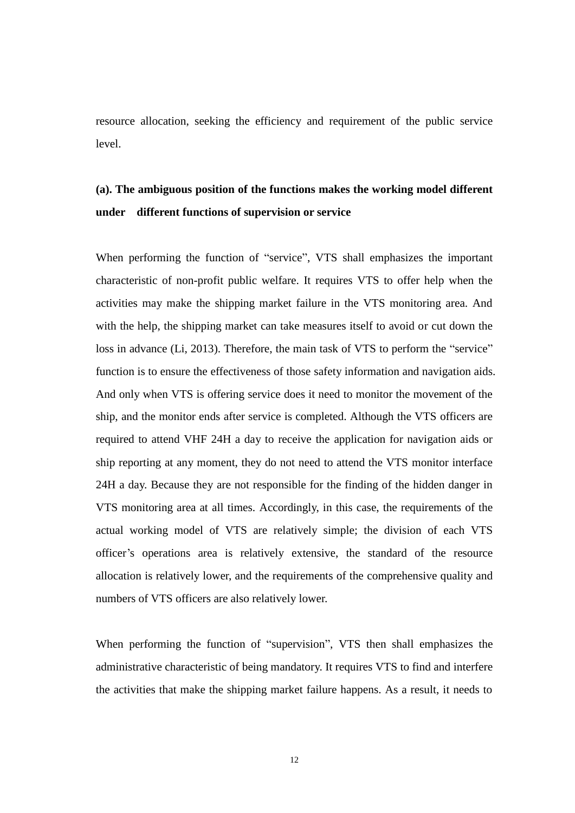resource allocation, seeking the efficiency and requirement of the public service level.

### **(a). The ambiguous position of the functions makes the working model different under different functions of supervision or service**

When performing the function of "service", VTS shall emphasizes the important characteristic of non-profit public welfare. It requires VTS to offer help when the activities may make the shipping market failure in the VTS monitoring area. And with the help, the shipping market can take measures itself to avoid or cut down the loss in advance (Li, 2013). Therefore, the main task of VTS to perform the "service" function is to ensure the effectiveness of those safety information and navigation aids. And only when VTS is offering service does it need to monitor the movement of the ship, and the monitor ends after service is completed. Although the VTS officers are required to attend VHF 24H a day to receive the application for navigation aids or ship reporting at any moment, they do not need to attend the VTS monitor interface 24H a day. Because they are not responsible for the finding of the hidden danger in VTS monitoring area at all times. Accordingly, in this case, the requirements of the actual working model of VTS are relatively simple; the division of each VTS officer"s operations area is relatively extensive, the standard of the resource allocation is relatively lower, and the requirements of the comprehensive quality and numbers of VTS officers are also relatively lower.

When performing the function of "supervision", VTS then shall emphasizes the administrative characteristic of being mandatory. It requires VTS to find and interfere the activities that make the shipping market failure happens. As a result, it needs to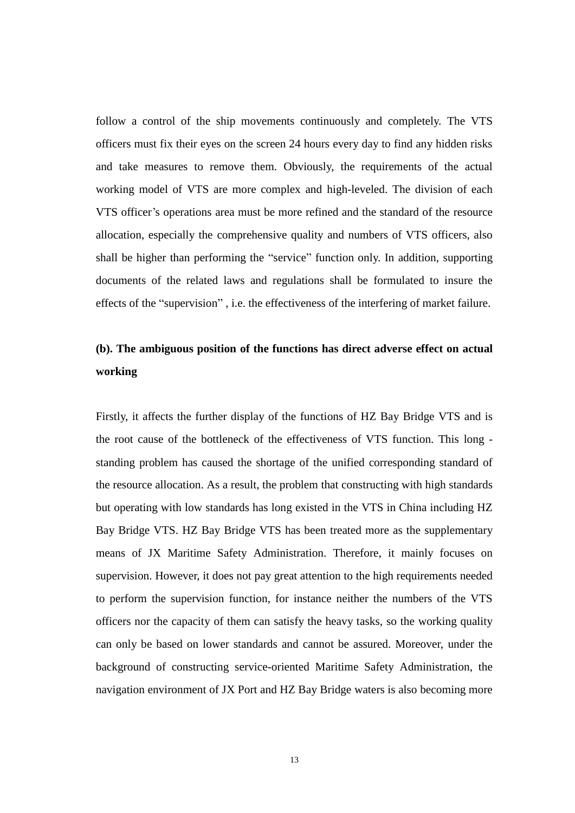follow a control of the ship movements continuously and completely. The VTS officers must fix their eyes on the screen 24 hours every day to find any hidden risks and take measures to remove them. Obviously, the requirements of the actual working model of VTS are more complex and high-leveled. The division of each VTS officer"s operations area must be more refined and the standard of the resource allocation, especially the comprehensive quality and numbers of VTS officers, also shall be higher than performing the "service" function only. In addition, supporting documents of the related laws and regulations shall be formulated to insure the effects of the "supervision" , i.e. the effectiveness of the interfering of market failure.

### **(b). The ambiguous position of the functions has direct adverse effect on actual working**

Firstly, it affects the further display of the functions of HZ Bay Bridge VTS and is the root cause of the bottleneck of the effectiveness of VTS function. This long standing problem has caused the shortage of the unified corresponding standard of the resource allocation. As a result, the problem that constructing with high standards but operating with low standards has long existed in the VTS in China including HZ Bay Bridge VTS. HZ Bay Bridge VTS has been treated more as the supplementary means of JX Maritime Safety Administration. Therefore, it mainly focuses on supervision. However, it does not pay great attention to the high requirements needed to perform the supervision function, for instance neither the numbers of the VTS officers nor the capacity of them can satisfy the heavy tasks, so the working quality can only be based on lower standards and cannot be assured. Moreover, under the background of constructing service-oriented Maritime Safety Administration, the navigation environment of JX Port and HZ Bay Bridge waters is also becoming more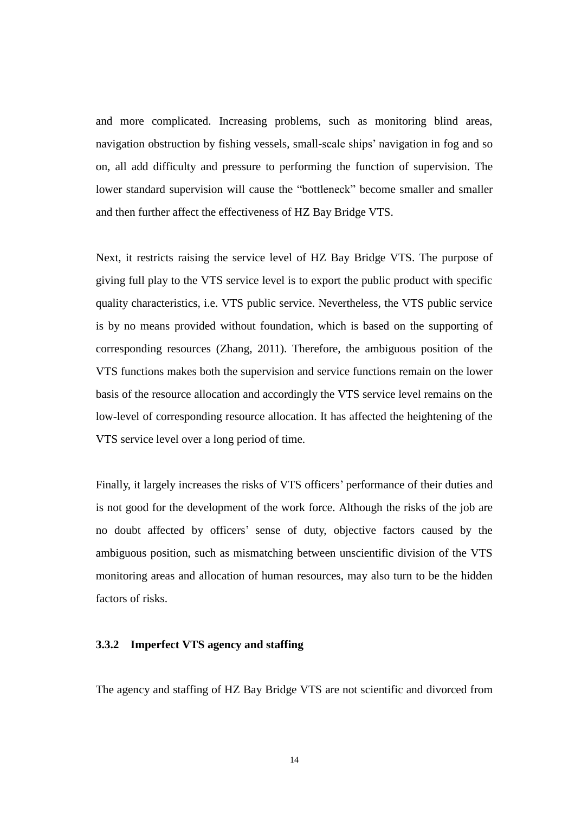and more complicated. Increasing problems, such as monitoring blind areas, navigation obstruction by fishing vessels, small-scale ships" navigation in fog and so on, all add difficulty and pressure to performing the function of supervision. The lower standard supervision will cause the "bottleneck" become smaller and smaller and then further affect the effectiveness of HZ Bay Bridge VTS.

Next, it restricts raising the service level of HZ Bay Bridge VTS. The purpose of giving full play to the VTS service level is to export the public product with specific quality characteristics, i.e. VTS public service. Nevertheless, the VTS public service is by no means provided without foundation, which is based on the supporting of corresponding resources (Zhang, 2011). Therefore, the ambiguous position of the VTS functions makes both the supervision and service functions remain on the lower basis of the resource allocation and accordingly the VTS service level remains on the low-level of corresponding resource allocation. It has affected the heightening of the VTS service level over a long period of time.

Finally, it largely increases the risks of VTS officers' performance of their duties and is not good for the development of the work force. Although the risks of the job are no doubt affected by officers" sense of duty, objective factors caused by the ambiguous position, such as mismatching between unscientific division of the VTS monitoring areas and allocation of human resources, may also turn to be the hidden factors of risks.

#### **3.3.2 Imperfect VTS agency and staffing**

The agency and staffing of HZ Bay Bridge VTS are not scientific and divorced from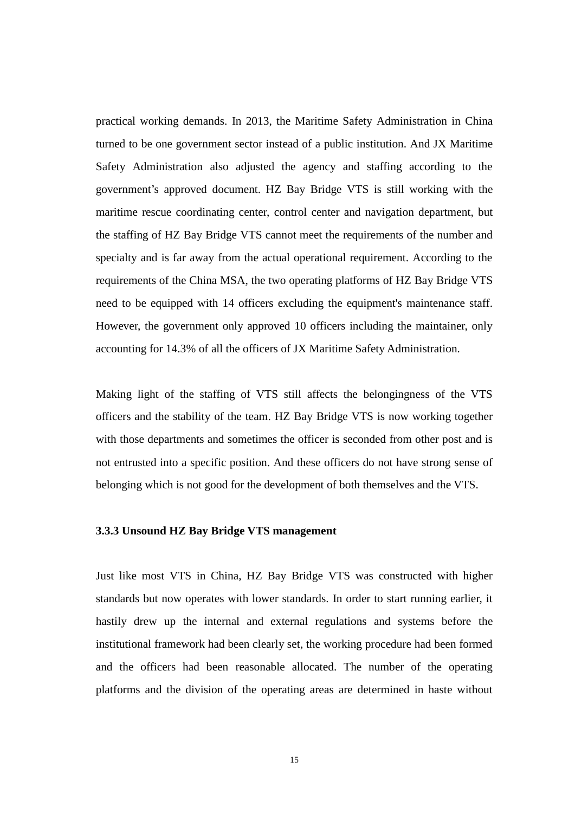practical working demands. In 2013, the Maritime Safety Administration in China turned to be one government sector instead of a public institution. And JX Maritime Safety Administration also adjusted the agency and staffing according to the government"s approved document. HZ Bay Bridge VTS is still working with the maritime rescue coordinating center, control center and navigation department, but the staffing of HZ Bay Bridge VTS cannot meet the requirements of the number and specialty and is far away from the actual operational requirement. According to the requirements of the China MSA, the two operating platforms of HZ Bay Bridge VTS need to be equipped with 14 officers excluding the equipment's maintenance staff. However, the government only approved 10 officers including the maintainer, only accounting for 14.3% of all the officers of JX Maritime Safety Administration.

Making light of the staffing of VTS still affects the belongingness of the VTS officers and the stability of the team. HZ Bay Bridge VTS is now working together with those departments and sometimes the officer is seconded from other post and is not entrusted into a specific position. And these officers do not have strong sense of belonging which is not good for the development of both themselves and the VTS.

#### **3.3.3 Unsound HZ Bay Bridge VTS management**

Just like most VTS in China, HZ Bay Bridge VTS was constructed with higher standards but now operates with lower standards. In order to start running earlier, it hastily drew up the internal and external regulations and systems before the institutional framework had been clearly set, the working procedure had been formed and the officers had been reasonable allocated. The number of the operating platforms and the division of the operating areas are determined in haste without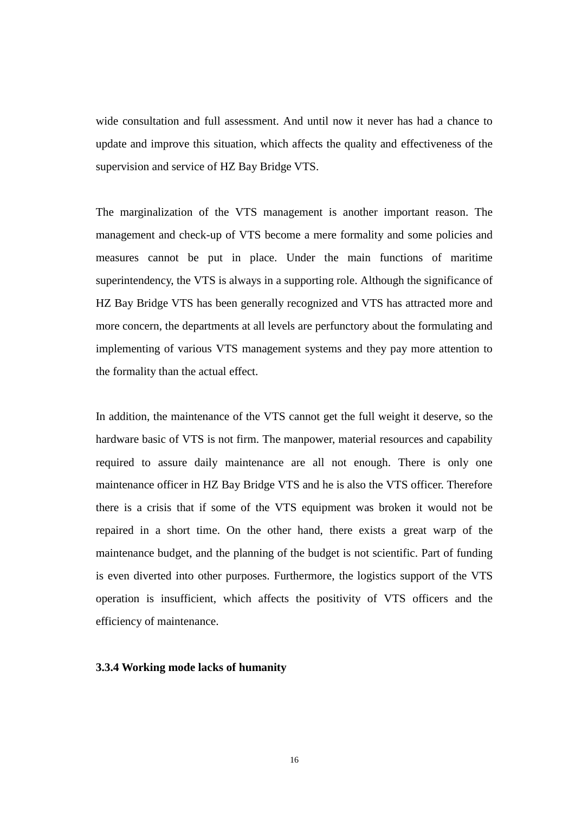wide consultation and full assessment. And until now it never has had a chance to update and improve this situation, which affects the quality and effectiveness of the supervision and service of HZ Bay Bridge VTS.

The marginalization of the VTS management is another important reason. The management and check-up of VTS become a mere formality and some policies and measures cannot be put in place. Under the main functions of maritime superintendency, the VTS is always in a supporting role. Although the significance of HZ Bay Bridge VTS has been generally recognized and VTS has attracted more and more concern, the departments at all levels are perfunctory about the formulating and implementing of various VTS management systems and they pay more attention to the formality than the actual effect.

In addition, the maintenance of the VTS cannot get the full weight it deserve, so the hardware basic of VTS is not firm. The manpower, material resources and capability required to assure daily maintenance are all not enough. There is only one maintenance officer in HZ Bay Bridge VTS and he is also the VTS officer. Therefore there is a crisis that if some of the VTS equipment was broken it would not be repaired in a short time. On the other hand, there exists a great warp of the maintenance budget, and the planning of the budget is not scientific. Part of funding is even diverted into other purposes. Furthermore, the logistics support of the VTS operation is insufficient, which affects the positivity of VTS officers and the efficiency of maintenance.

#### **3.3.4 Working mode lacks of humanity**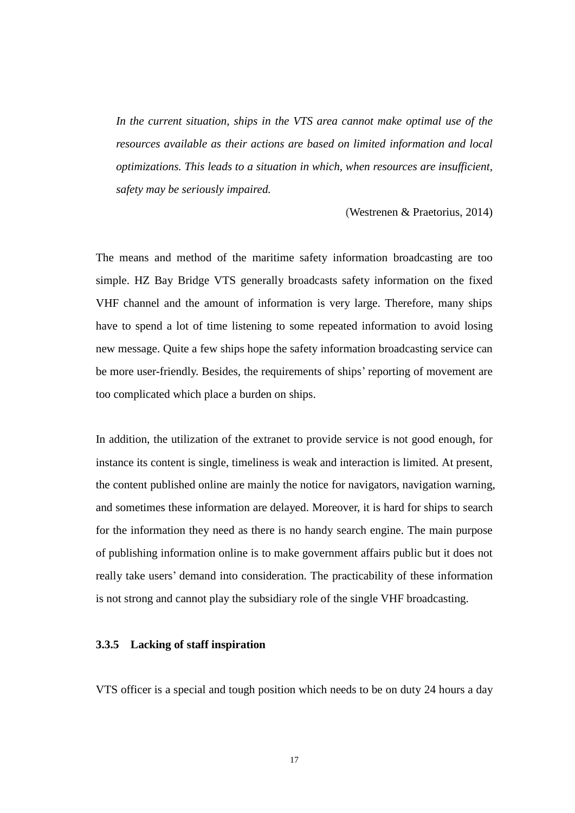*In the current situation, ships in the VTS area cannot make optimal use of the resources available as their actions are based on limited information and local optimizations. This leads to a situation in which, when resources are insufficient, safety may be seriously impaired.*

(Westrenen & Praetorius, 2014)

The means and method of the maritime safety information broadcasting are too simple. HZ Bay Bridge VTS generally broadcasts safety information on the fixed VHF channel and the amount of information is very large. Therefore, many ships have to spend a lot of time listening to some repeated information to avoid losing new message. Quite a few ships hope the safety information broadcasting service can be more user-friendly. Besides, the requirements of ships' reporting of movement are too complicated which place a burden on ships.

In addition, the utilization of the extranet to provide service is not good enough, for instance its content is single, timeliness is weak and interaction is limited. At present, the content published online are mainly the notice for navigators, navigation warning, and sometimes these information are delayed. Moreover, it is hard for ships to search for the information they need as there is no handy search engine. The main purpose of publishing information online is to make government affairs public but it does not really take users' demand into consideration. The practicability of these information is not strong and cannot play the subsidiary role of the single VHF broadcasting.

#### **3.3.5 Lacking of staff inspiration**

VTS officer is a special and tough position which needs to be on duty 24 hours a day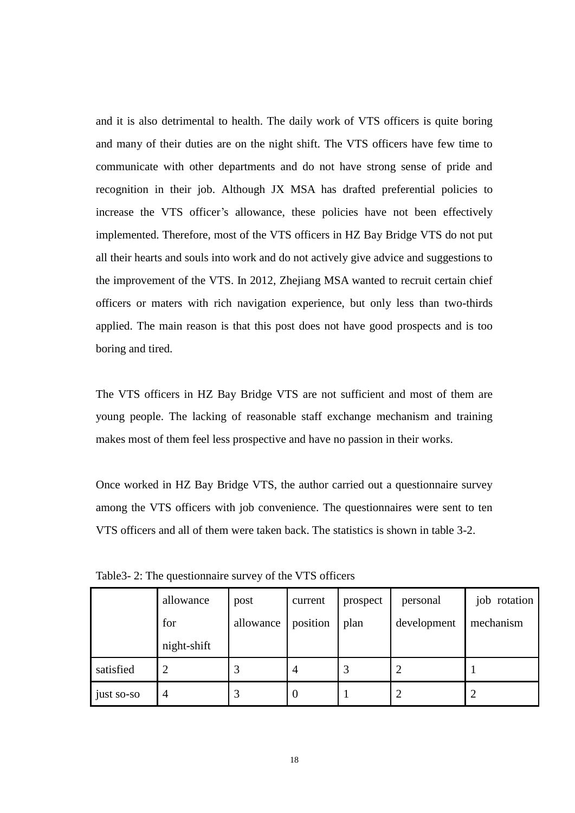and it is also detrimental to health. The daily work of VTS officers is quite boring and many of their duties are on the night shift. The VTS officers have few time to communicate with other departments and do not have strong sense of pride and recognition in their job. Although JX MSA has drafted preferential policies to increase the VTS officer's allowance, these policies have not been effectively implemented. Therefore, most of the VTS officers in HZ Bay Bridge VTS do not put all their hearts and souls into work and do not actively give advice and suggestions to the improvement of the VTS. In 2012, Zhejiang MSA wanted to recruit certain chief officers or maters with rich navigation experience, but only less than two-thirds applied. The main reason is that this post does not have good prospects and is too boring and tired.

The VTS officers in HZ Bay Bridge VTS are not sufficient and most of them are young people. The lacking of reasonable staff exchange mechanism and training makes most of them feel less prospective and have no passion in their works.

Once worked in HZ Bay Bridge VTS, the author carried out a questionnaire survey among the VTS officers with job convenience. The questionnaires were sent to ten VTS officers and all of them were taken back. The statistics is shown in table 3-2.

|            | allowance<br>for<br>night-shift | post<br>allowance | current<br>position | prospect<br>plan | personal<br>development | job rotation<br>mechanism |
|------------|---------------------------------|-------------------|---------------------|------------------|-------------------------|---------------------------|
| satisfied  | $\overline{2}$                  | 3                 | $\overline{4}$      | 3                |                         |                           |
| just so-so | $\overline{4}$                  |                   | $\boldsymbol{0}$    |                  |                         |                           |

Table3- 2: The questionnaire survey of the VTS officers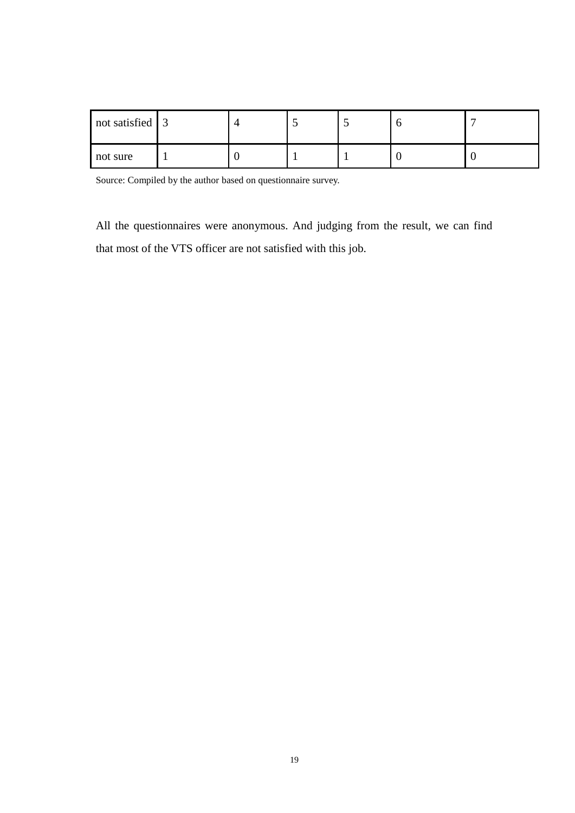| not satisfied 3 |  |  |  |
|-----------------|--|--|--|
| not sure        |  |  |  |

Source: Compiled by the author based on questionnaire survey.

All the questionnaires were anonymous. And judging from the result, we can find that most of the VTS officer are not satisfied with this job.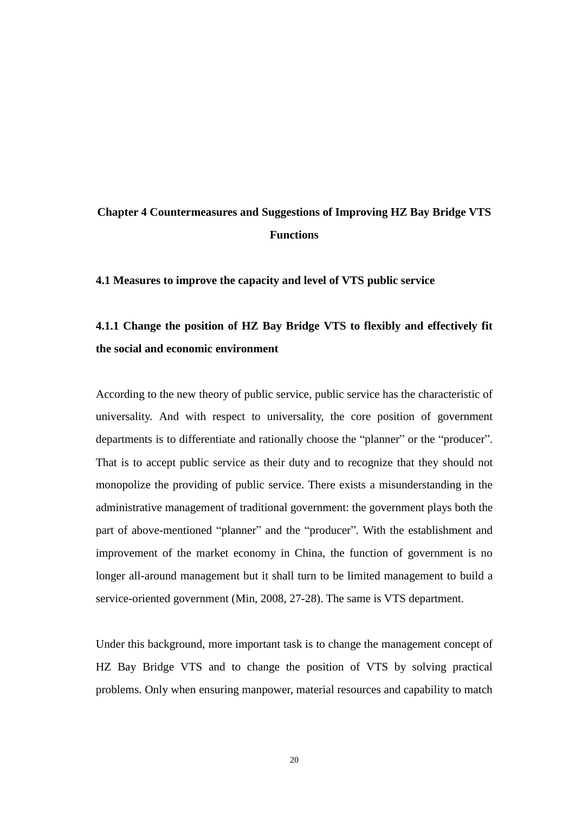### **Chapter 4 Countermeasures and Suggestions of Improving HZ Bay Bridge VTS Functions**

**4.1 Measures to improve the capacity and level of VTS public service** 

### **4.1.1 Change the position of HZ Bay Bridge VTS to flexibly and effectively fit the social and economic environment**

According to the new theory of public service, public service has the characteristic of universality. And with respect to universality, the core position of government departments is to differentiate and rationally choose the "planner" or the "producer". That is to accept public service as their duty and to recognize that they should not monopolize the providing of public service. There exists a misunderstanding in the administrative management of traditional government: the government plays both the part of above-mentioned "planner" and the "producer". With the establishment and improvement of the market economy in China, the function of government is no longer all-around management but it shall turn to be limited management to build a service-oriented government (Min, 2008, 27-28). The same is VTS department.

Under this background, more important task is to change the management concept of HZ Bay Bridge VTS and to change the position of VTS by solving practical problems. Only when ensuring manpower, material resources and capability to match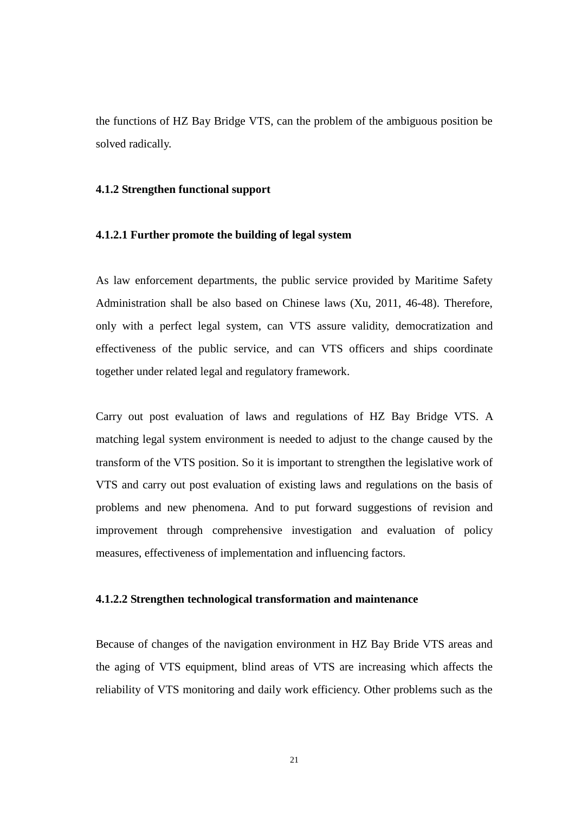the functions of HZ Bay Bridge VTS, can the problem of the ambiguous position be solved radically.

#### **4.1.2 Strengthen functional support**

#### **4.1.2.1 Further promote the building of legal system**

As law enforcement departments, the public service provided by Maritime Safety Administration shall be also based on Chinese laws (Xu, 2011, 46-48). Therefore, only with a perfect legal system, can VTS assure validity, democratization and effectiveness of the public service, and can VTS officers and ships coordinate together under related legal and regulatory framework.

Carry out post evaluation of laws and regulations of HZ Bay Bridge VTS. A matching legal system environment is needed to adjust to the change caused by the transform of the VTS position. So it is important to strengthen the legislative work of VTS and carry out post evaluation of existing laws and regulations on the basis of problems and new phenomena. And to put forward suggestions of revision and improvement through comprehensive investigation and evaluation of policy measures, effectiveness of implementation and influencing factors.

#### **4.1.2.2 Strengthen technological transformation and maintenance**

Because of changes of the navigation environment in HZ Bay Bride VTS areas and the aging of VTS equipment, blind areas of VTS are increasing which affects the reliability of VTS monitoring and daily work efficiency. Other problems such as the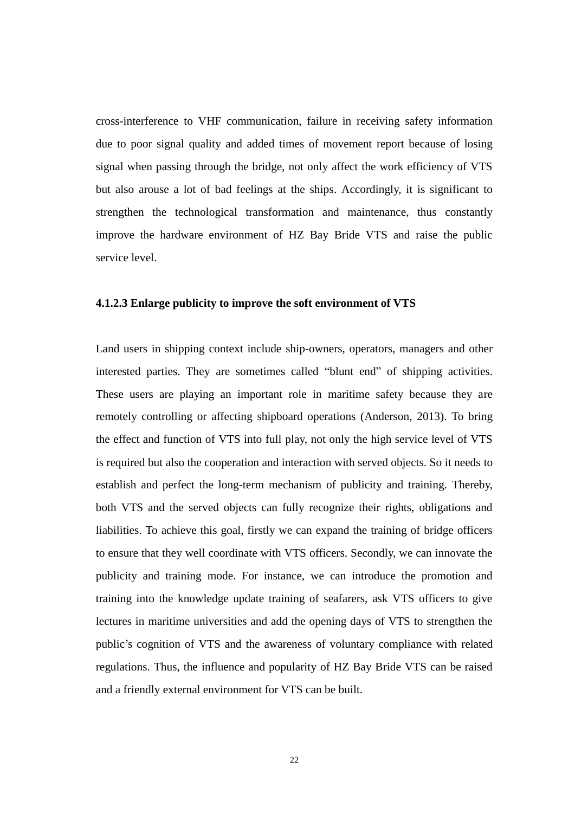cross-interference to VHF communication, failure in receiving safety information due to poor signal quality and added times of movement report because of losing signal when passing through the bridge, not only affect the work efficiency of VTS but also arouse a lot of bad feelings at the ships. Accordingly, it is significant to strengthen the technological transformation and maintenance, thus constantly improve the hardware environment of HZ Bay Bride VTS and raise the public service level.

#### **4.1.2.3 Enlarge publicity to improve the soft environment of VTS**

Land users in shipping context include ship-owners, operators, managers and other interested parties. They are sometimes called "blunt end" of shipping activities. These users are playing an important role in maritime safety because they are remotely controlling or affecting shipboard operations (Anderson, 2013). To bring the effect and function of VTS into full play, not only the high service level of VTS is required but also the cooperation and interaction with served objects. So it needs to establish and perfect the long-term mechanism of publicity and training. Thereby, both VTS and the served objects can fully recognize their rights, obligations and liabilities. To achieve this goal, firstly we can expand the training of bridge officers to ensure that they well coordinate with VTS officers. Secondly, we can innovate the publicity and training mode. For instance, we can introduce the promotion and training into the knowledge update training of seafarers, ask VTS officers to give lectures in maritime universities and add the opening days of VTS to strengthen the public"s cognition of VTS and the awareness of voluntary compliance with related regulations. Thus, the influence and popularity of HZ Bay Bride VTS can be raised and a friendly external environment for VTS can be built.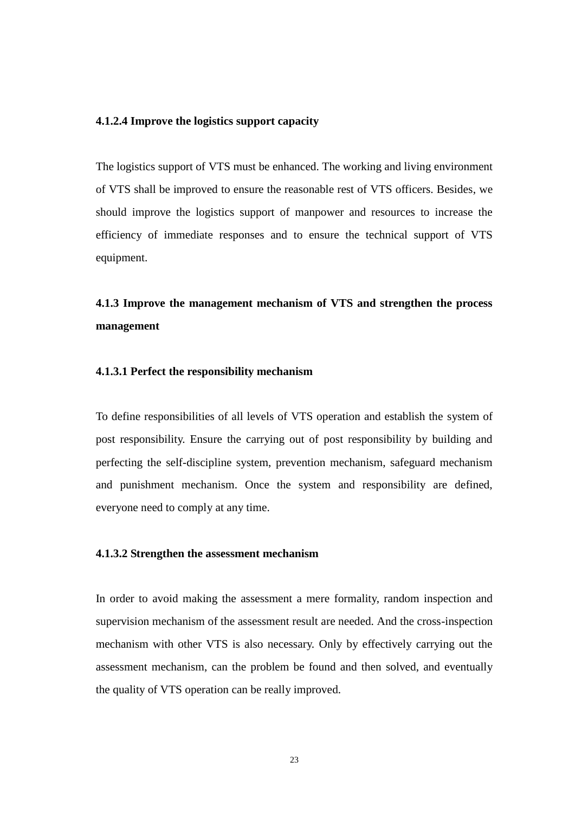#### **4.1.2.4 Improve the logistics support capacity**

The logistics support of VTS must be enhanced. The working and living environment of VTS shall be improved to ensure the reasonable rest of VTS officers. Besides, we should improve the logistics support of manpower and resources to increase the efficiency of immediate responses and to ensure the technical support of VTS equipment.

**4.1.3 Improve the management mechanism of VTS and strengthen the process management** 

#### **4.1.3.1 Perfect the responsibility mechanism**

To define responsibilities of all levels of VTS operation and establish the system of post responsibility. Ensure the carrying out of post responsibility by building and perfecting the self-discipline system, prevention mechanism, safeguard mechanism and punishment mechanism. Once the system and responsibility are defined, everyone need to comply at any time.

#### **4.1.3.2 Strengthen the assessment mechanism**

In order to avoid making the assessment a mere formality, random inspection and supervision mechanism of the assessment result are needed. And the cross-inspection mechanism with other VTS is also necessary. Only by effectively carrying out the assessment mechanism, can the problem be found and then solved, and eventually the quality of VTS operation can be really improved.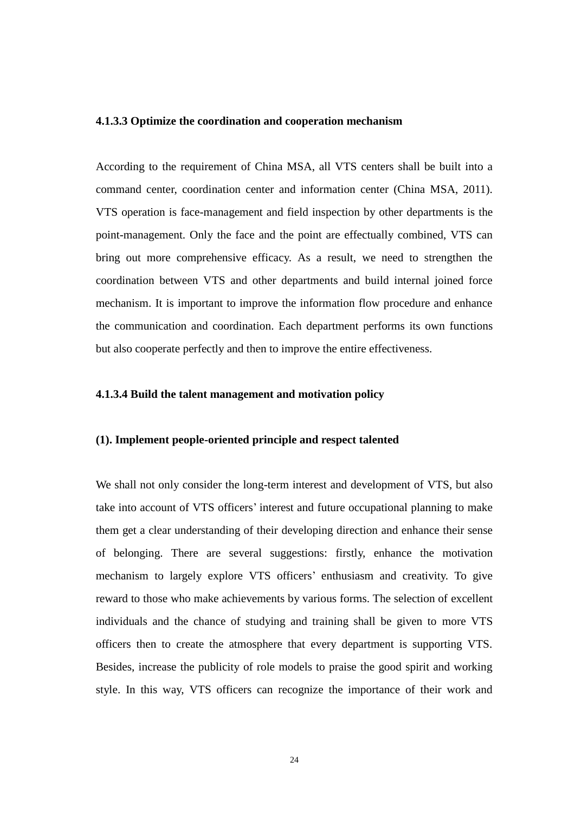#### **4.1.3.3 Optimize the coordination and cooperation mechanism**

According to the requirement of China MSA, all VTS centers shall be built into a command center, coordination center and information center (China MSA, 2011). VTS operation is face-management and field inspection by other departments is the point-management. Only the face and the point are effectually combined, VTS can bring out more comprehensive efficacy. As a result, we need to strengthen the coordination between VTS and other departments and build internal joined force mechanism. It is important to improve the information flow procedure and enhance the communication and coordination. Each department performs its own functions but also cooperate perfectly and then to improve the entire effectiveness.

#### **4.1.3.4 Build the talent management and motivation policy**

#### **(1). Implement people-oriented principle and respect talented**

We shall not only consider the long-term interest and development of VTS, but also take into account of VTS officers' interest and future occupational planning to make them get a clear understanding of their developing direction and enhance their sense of belonging. There are several suggestions: firstly, enhance the motivation mechanism to largely explore VTS officers' enthusiasm and creativity. To give reward to those who make achievements by various forms. The selection of excellent individuals and the chance of studying and training shall be given to more VTS officers then to create the atmosphere that every department is supporting VTS. Besides, increase the publicity of role models to praise the good spirit and working style. In this way, VTS officers can recognize the importance of their work and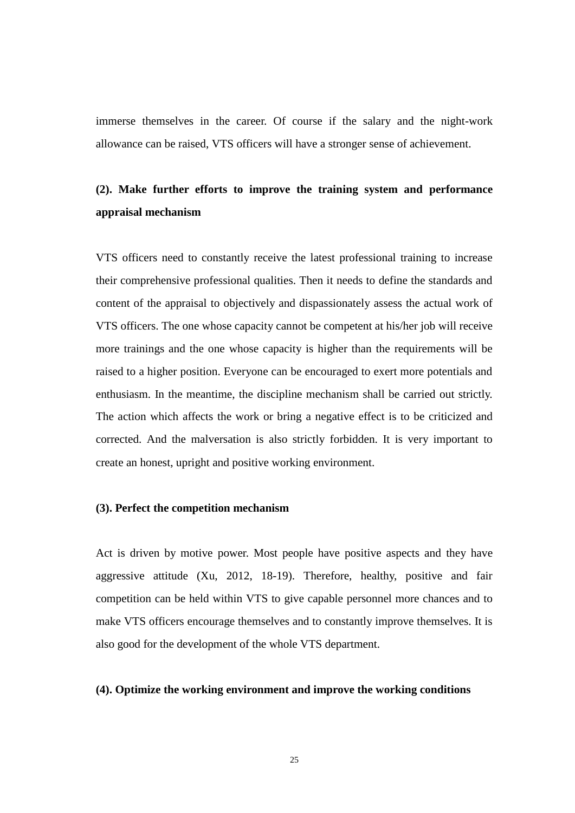immerse themselves in the career. Of course if the salary and the night-work allowance can be raised, VTS officers will have a stronger sense of achievement.

### **(2). Make further efforts to improve the training system and performance appraisal mechanism**

VTS officers need to constantly receive the latest professional training to increase their comprehensive professional qualities. Then it needs to define the standards and content of the appraisal to objectively and dispassionately assess the actual work of VTS officers. The one whose capacity cannot be competent at his/her job will receive more trainings and the one whose capacity is higher than the requirements will be raised to a higher position. Everyone can be encouraged to exert more potentials and enthusiasm. In the meantime, the discipline mechanism shall be carried out strictly. The action which affects the work or bring a negative effect is to be criticized and corrected. And the malversation is also strictly forbidden. It is very important to create an honest, upright and positive working environment.

#### **(3). Perfect the competition mechanism**

Act is driven by motive power. Most people have positive aspects and they have aggressive attitude (Xu, 2012, 18-19). Therefore, healthy, positive and fair competition can be held within VTS to give capable personnel more chances and to make VTS officers encourage themselves and to constantly improve themselves. It is also good for the development of the whole VTS department.

#### **(4). Optimize the working environment and improve the working conditions**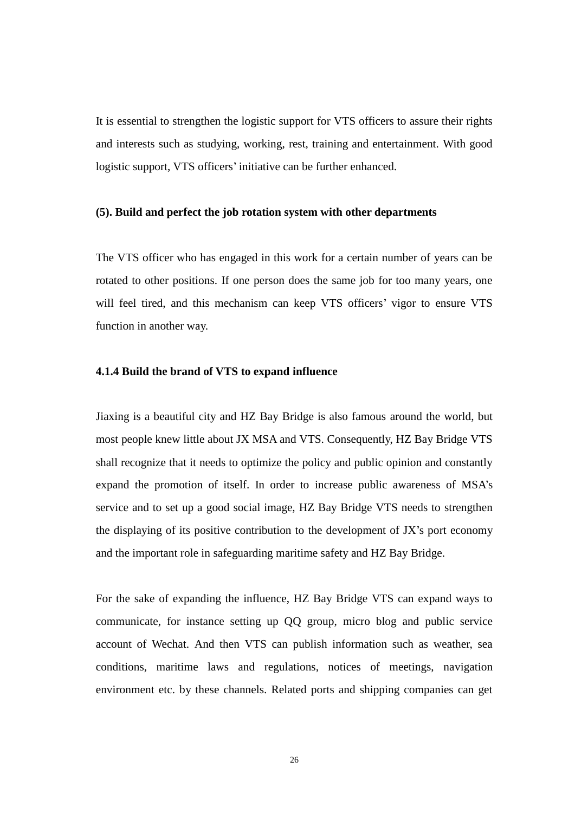It is essential to strengthen the logistic support for VTS officers to assure their rights and interests such as studying, working, rest, training and entertainment. With good logistic support, VTS officers' initiative can be further enhanced.

#### **(5). Build and perfect the job rotation system with other departments**

The VTS officer who has engaged in this work for a certain number of years can be rotated to other positions. If one person does the same job for too many years, one will feel tired, and this mechanism can keep VTS officers' vigor to ensure VTS function in another way.

#### **4.1.4 Build the brand of VTS to expand influence**

Jiaxing is a beautiful city and HZ Bay Bridge is also famous around the world, but most people knew little about JX MSA and VTS. Consequently, HZ Bay Bridge VTS shall recognize that it needs to optimize the policy and public opinion and constantly expand the promotion of itself. In order to increase public awareness of MSA"s service and to set up a good social image, HZ Bay Bridge VTS needs to strengthen the displaying of its positive contribution to the development of JX"s port economy and the important role in safeguarding maritime safety and HZ Bay Bridge.

For the sake of expanding the influence, HZ Bay Bridge VTS can expand ways to communicate, for instance setting up QQ group, micro blog and public service account of Wechat. And then VTS can publish information such as weather, sea conditions, maritime laws and regulations, notices of meetings, navigation environment etc. by these channels. Related ports and shipping companies can get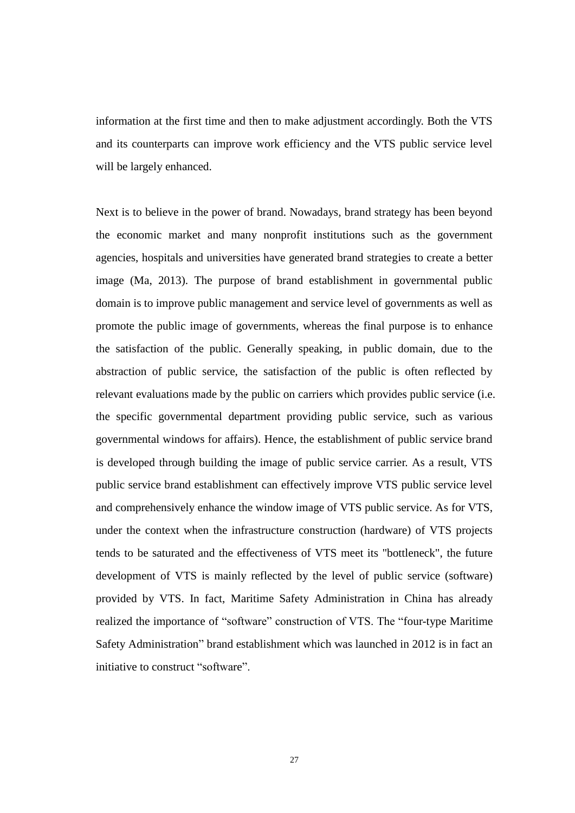information at the first time and then to make adjustment accordingly. Both the VTS and its counterparts can improve work efficiency and the VTS public service level will be largely enhanced.

Next is to believe in the power of brand. Nowadays, brand strategy has been beyond the economic market and many nonprofit institutions such as the government agencies, hospitals and universities have generated brand strategies to create a better image (Ma, 2013). The purpose of brand establishment in governmental public domain is to improve public management and service level of governments as well as promote the public image of governments, whereas the final purpose is to enhance the satisfaction of the public. Generally speaking, in public domain, due to the abstraction of public service, the satisfaction of the public is often reflected by relevant evaluations made by the public on carriers which provides public service (i.e. the specific governmental department providing public service, such as various governmental windows for affairs). Hence, the establishment of public service brand is developed through building the image of public service carrier. As a result, VTS public service brand establishment can effectively improve VTS public service level and comprehensively enhance the window image of VTS public service. As for VTS, under the context when the infrastructure construction (hardware) of VTS projects tends to be saturated and the effectiveness of VTS meet its "bottleneck", the future development of VTS is mainly reflected by the level of public service (software) provided by VTS. In fact, Maritime Safety Administration in China has already realized the importance of "software" construction of VTS. The "four-type Maritime Safety Administration" brand establishment which was launched in 2012 is in fact an initiative to construct "software".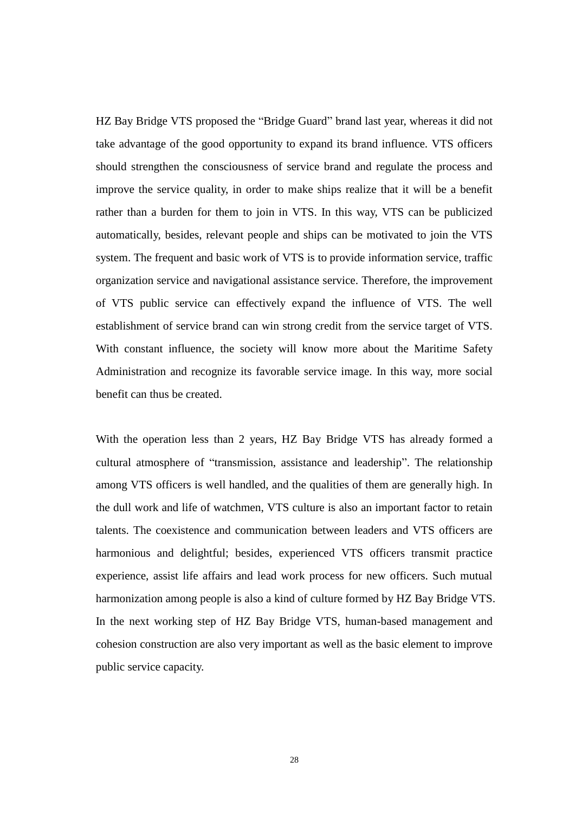HZ Bay Bridge VTS proposed the "Bridge Guard" brand last year, whereas it did not take advantage of the good opportunity to expand its brand influence. VTS officers should strengthen the consciousness of service brand and regulate the process and improve the service quality, in order to make ships realize that it will be a benefit rather than a burden for them to join in VTS. In this way, VTS can be publicized automatically, besides, relevant people and ships can be motivated to join the VTS system. The frequent and basic work of VTS is to provide information service, traffic organization service and navigational assistance service. Therefore, the improvement of VTS public service can effectively expand the influence of VTS. The well establishment of service brand can win strong credit from the service target of VTS. With constant influence, the society will know more about the Maritime Safety Administration and recognize its favorable service image. In this way, more social benefit can thus be created.

With the operation less than 2 years, HZ Bay Bridge VTS has already formed a cultural atmosphere of "transmission, assistance and leadership". The relationship among VTS officers is well handled, and the qualities of them are generally high. In the dull work and life of watchmen, VTS culture is also an important factor to retain talents. The coexistence and communication between leaders and VTS officers are harmonious and delightful; besides, experienced VTS officers transmit practice experience, assist life affairs and lead work process for new officers. Such mutual harmonization among people is also a kind of culture formed by HZ Bay Bridge VTS. In the next working step of HZ Bay Bridge VTS, human-based management and cohesion construction are also very important as well as the basic element to improve public service capacity.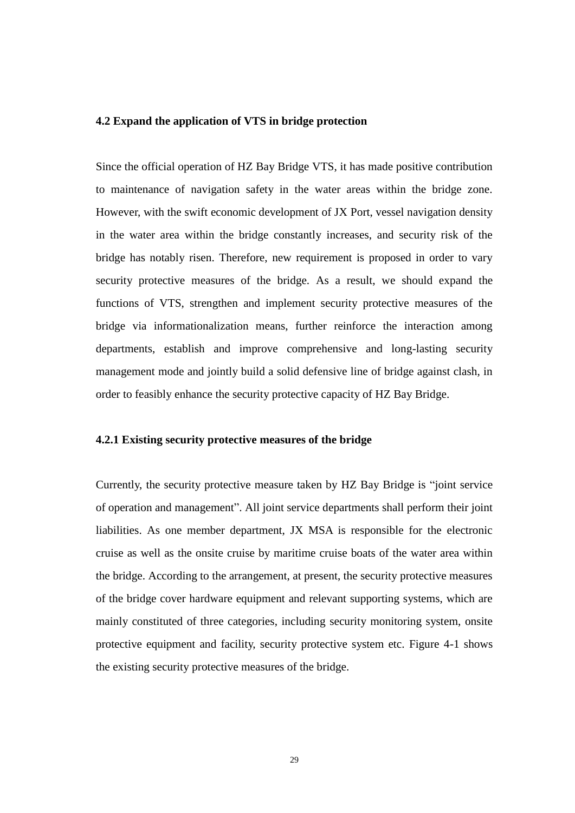#### **4.2 Expand the application of VTS in bridge protection**

Since the official operation of HZ Bay Bridge VTS, it has made positive contribution to maintenance of navigation safety in the water areas within the bridge zone. However, with the swift economic development of JX Port, vessel navigation density in the water area within the bridge constantly increases, and security risk of the bridge has notably risen. Therefore, new requirement is proposed in order to vary security protective measures of the bridge. As a result, we should expand the functions of VTS, strengthen and implement security protective measures of the bridge via informationalization means, further reinforce the interaction among departments, establish and improve comprehensive and long-lasting security management mode and jointly build a solid defensive line of bridge against clash, in order to feasibly enhance the security protective capacity of HZ Bay Bridge.

#### **4.2.1 Existing security protective measures of the bridge**

Currently, the security protective measure taken by HZ Bay Bridge is "joint service of operation and management". All joint service departments shall perform their joint liabilities. As one member department, JX MSA is responsible for the electronic cruise as well as the onsite cruise by maritime cruise boats of the water area within the bridge. According to the arrangement, at present, the security protective measures of the bridge cover hardware equipment and relevant supporting systems, which are mainly constituted of three categories, including security monitoring system, onsite protective equipment and facility, security protective system etc. Figure 4-1 shows the existing security protective measures of the bridge.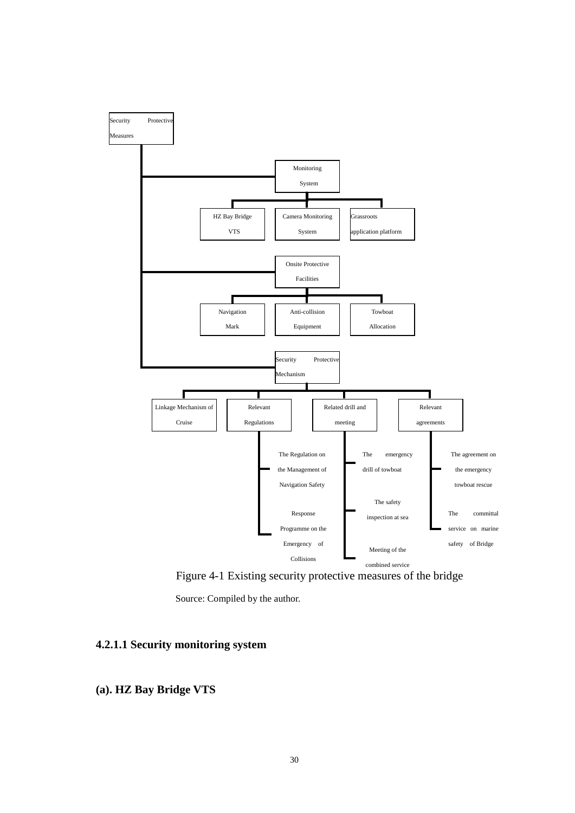

Figure 4-1 Existing security protective measures of the bridge

#### **4.2.1.1 Security monitoring system**

#### **(a). HZ Bay Bridge VTS**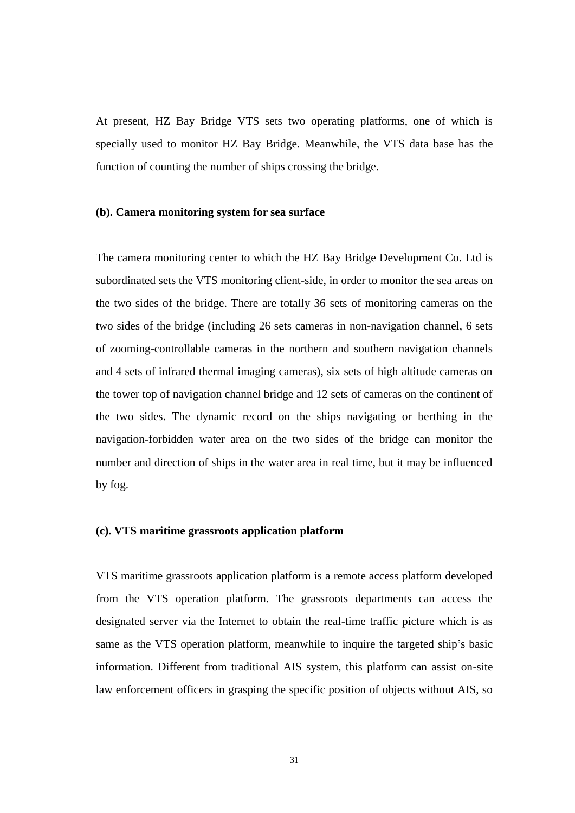At present, HZ Bay Bridge VTS sets two operating platforms, one of which is specially used to monitor HZ Bay Bridge. Meanwhile, the VTS data base has the function of counting the number of ships crossing the bridge.

#### **(b). Camera monitoring system for sea surface**

The camera monitoring center to which the HZ Bay Bridge Development Co. Ltd is subordinated sets the VTS monitoring client-side, in order to monitor the sea areas on the two sides of the bridge. There are totally 36 sets of monitoring cameras on the two sides of the bridge (including 26 sets cameras in non-navigation channel, 6 sets of zooming-controllable cameras in the northern and southern navigation channels and 4 sets of infrared thermal imaging cameras), six sets of high altitude cameras on the tower top of navigation channel bridge and 12 sets of cameras on the continent of the two sides. The dynamic record on the ships navigating or berthing in the navigation-forbidden water area on the two sides of the bridge can monitor the number and direction of ships in the water area in real time, but it may be influenced by fog.

#### **(c). VTS maritime grassroots application platform**

VTS maritime grassroots application platform is a remote access platform developed from the VTS operation platform. The grassroots departments can access the designated server via the Internet to obtain the real-time traffic picture which is as same as the VTS operation platform, meanwhile to inquire the targeted ship's basic information. Different from traditional AIS system, this platform can assist on-site law enforcement officers in grasping the specific position of objects without AIS, so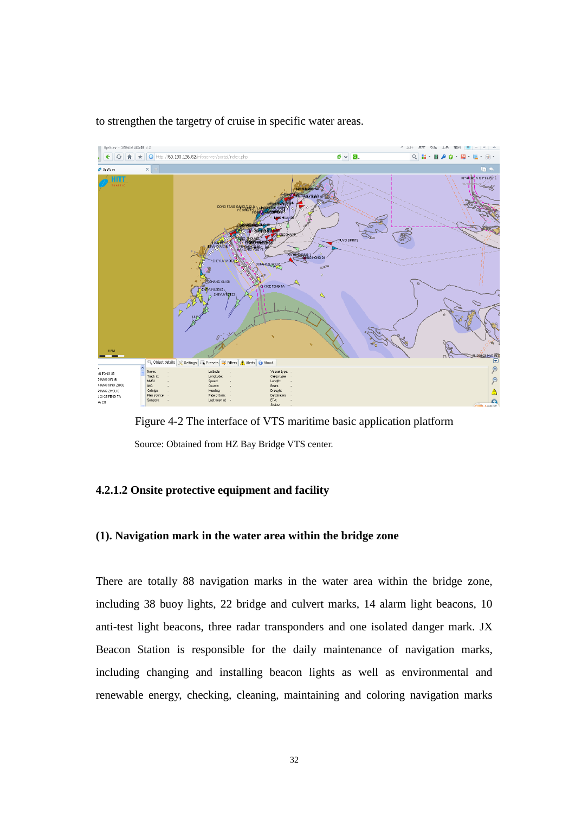

to strengthen the targetry of cruise in specific water areas.

Figure 4-2 The interface of VTS maritime basic application platform Source: Obtained from HZ Bay Bridge VTS center.

#### **4.2.1.2 Onsite protective equipment and facility**

#### **(1). Navigation mark in the water area within the bridge zone**

There are totally 88 navigation marks in the water area within the bridge zone, including 38 buoy lights, 22 bridge and culvert marks, 14 alarm light beacons, 10 anti-test light beacons, three radar transponders and one isolated danger mark. JX Beacon Station is responsible for the daily maintenance of navigation marks, including changing and installing beacon lights as well as environmental and renewable energy, checking, cleaning, maintaining and coloring navigation marks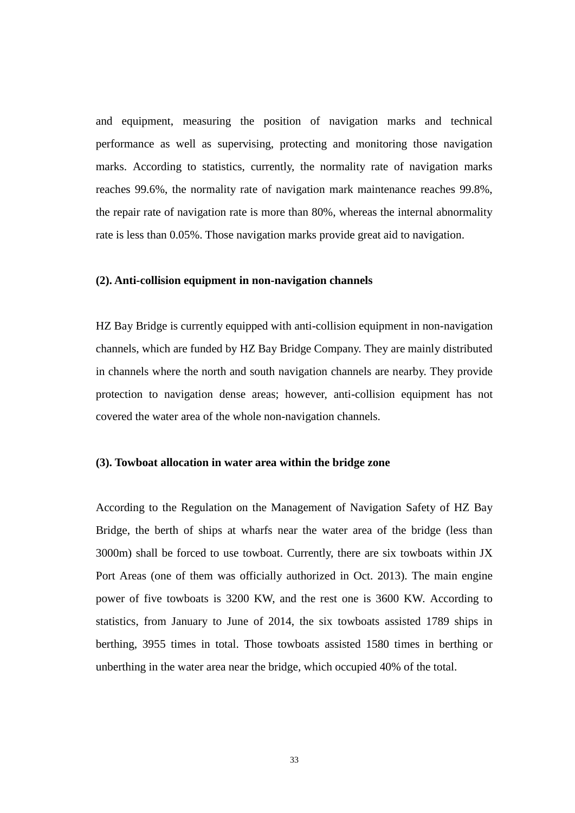and equipment, measuring the position of navigation marks and technical performance as well as supervising, protecting and monitoring those navigation marks. According to statistics, currently, the normality rate of navigation marks reaches 99.6%, the normality rate of navigation mark maintenance reaches 99.8%, the repair rate of navigation rate is more than 80%, whereas the internal abnormality rate is less than 0.05%. Those navigation marks provide great aid to navigation.

#### **(2). Anti-collision equipment in non-navigation channels**

HZ Bay Bridge is currently equipped with anti-collision equipment in non-navigation channels, which are funded by HZ Bay Bridge Company. They are mainly distributed in channels where the north and south navigation channels are nearby. They provide protection to navigation dense areas; however, anti-collision equipment has not covered the water area of the whole non-navigation channels.

#### **(3). Towboat allocation in water area within the bridge zone**

According to the Regulation on the Management of Navigation Safety of HZ Bay Bridge, the berth of ships at wharfs near the water area of the bridge (less than 3000m) shall be forced to use towboat. Currently, there are six towboats within JX Port Areas (one of them was officially authorized in Oct. 2013). The main engine power of five towboats is 3200 KW, and the rest one is 3600 KW. According to statistics, from January to June of 2014, the six towboats assisted 1789 ships in berthing, 3955 times in total. Those towboats assisted 1580 times in berthing or unberthing in the water area near the bridge, which occupied 40% of the total.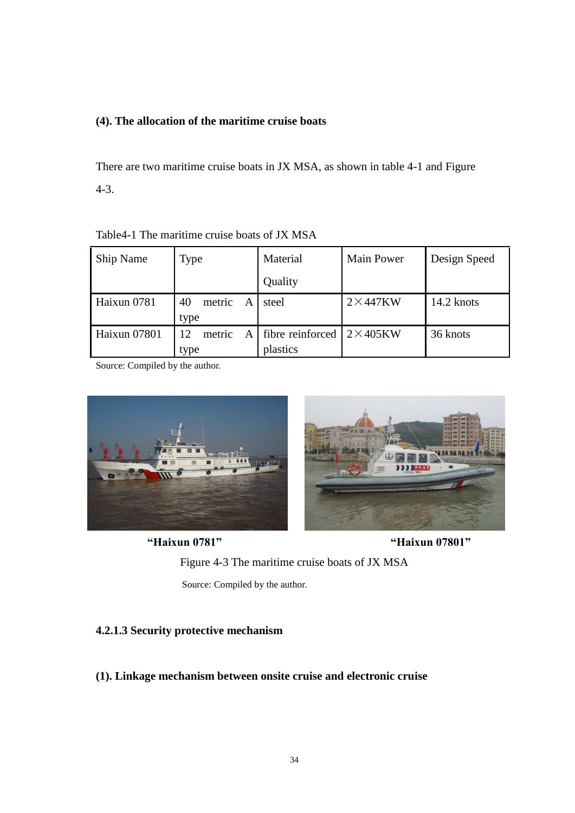#### **(4). The allocation of the maritime cruise boats**

There are two maritime cruise boats in JX MSA, as shown in table 4-1 and Figure 4-3.

Table4-1 The maritime cruise boats of JX MSA

| Ship Name    | <b>Type</b>       | Material         | <b>Main Power</b> | Design Speed |
|--------------|-------------------|------------------|-------------------|--------------|
|              |                   | Quality          |                   |              |
| Haixun 0781  | 40<br>metric<br>A | steel            | $2\times$ 447KW   | 14.2 knots   |
|              | type              |                  |                   |              |
| Haixun 07801 | 12<br>metric<br>A | fibre reinforced | $2\times405$ KW   | 36 knots     |
|              | type              | plastics         |                   |              |

Source: Compiled by the author.



**"Haixun 0781" "Haixun 07801"**

Figure 4-3 The maritime cruise boats of JX MSA Source: Compiled by the author.

#### **4.2.1.3 Security protective mechanism**

**(1). Linkage mechanism between onsite cruise and electronic cruise**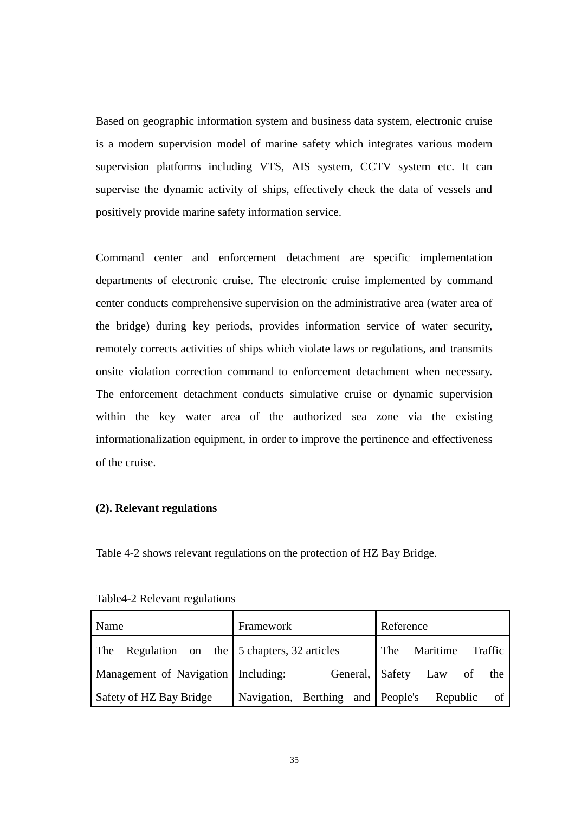Based on geographic information system and business data system, electronic cruise is a modern supervision model of marine safety which integrates various modern supervision platforms including VTS, AIS system, CCTV system etc. It can supervise the dynamic activity of ships, effectively check the data of vessels and positively provide marine safety information service.

Command center and enforcement detachment are specific implementation departments of electronic cruise. The electronic cruise implemented by command center conducts comprehensive supervision on the administrative area (water area of the bridge) during key periods, provides information service of water security, remotely corrects activities of ships which violate laws or regulations, and transmits onsite violation correction command to enforcement detachment when necessary. The enforcement detachment conducts simulative cruise or dynamic supervision within the key water area of the authorized sea zone via the existing informationalization equipment, in order to improve the pertinence and effectiveness of the cruise.

#### **(2). Relevant regulations**

Table 4-2 shows relevant regulations on the protection of HZ Bay Bridge.

| Name                                            | Framework                                     | Reference                  |
|-------------------------------------------------|-----------------------------------------------|----------------------------|
| The Regulation on the $5$ chapters, 32 articles |                                               | The Maritime Traffic       |
| Management of Navigation   Including:           |                                               | General, Safety Law of the |
| Safety of HZ Bay Bridge                         | Navigation, Berthing and People's Republic of |                            |

Table4-2 Relevant regulations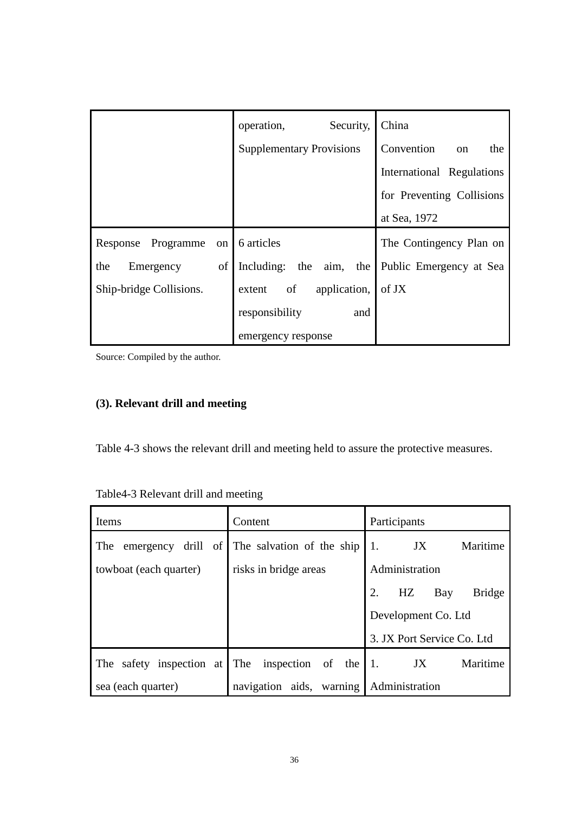|                         | operation,<br>Security,         | China                     |
|-------------------------|---------------------------------|---------------------------|
|                         | <b>Supplementary Provisions</b> | Convention<br>the<br>on   |
|                         |                                 | International Regulations |
|                         |                                 | for Preventing Collisions |
|                         |                                 | at Sea, 1972              |
| Response Programme      | on 6 articles                   | The Contingency Plan on   |
| of<br>Emergency<br>the  | Including: the<br>aim, the      | Public Emergency at Sea   |
| Ship-bridge Collisions. | extent of<br>application,       | of JX                     |
|                         | responsibility<br>and           |                           |
|                         | emergency response              |                           |

### **(3). Relevant drill and meeting**

Table 4-3 shows the relevant drill and meeting held to assure the protective measures.

| Items                              | Content                     | Participants                     |  |
|------------------------------------|-----------------------------|----------------------------------|--|
| emergency drill of<br>The          | The salvation of the ship   | Maritime<br>1.<br>JX             |  |
| towboat (each quarter)             | risks in bridge areas       | Administration                   |  |
|                                    |                             | 2.<br><b>Bridge</b><br>HZ<br>Bay |  |
|                                    |                             | Development Co. Ltd              |  |
|                                    |                             | 3. JX Port Service Co. Ltd       |  |
| safety inspection at<br><b>The</b> | The inspection of the       | Maritime<br>1.<br>JX             |  |
| sea (each quarter)                 | aids, warning<br>navigation | Administration                   |  |

Table4-3 Relevant drill and meeting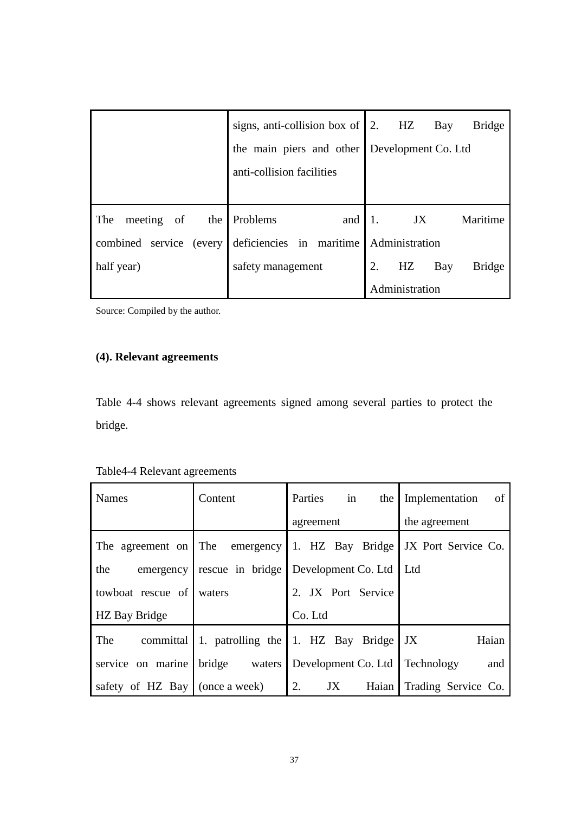|                          | signs, anti-collision box of $\vert 2$ . HZ  | Bay<br><b>Bridge</b>       |
|--------------------------|----------------------------------------------|----------------------------|
|                          | the main piers and other Development Co. Ltd |                            |
|                          | anti-collision facilities                    |                            |
|                          |                                              |                            |
|                          |                                              |                            |
| meeting of<br>The<br>the | Problems<br>and                              | Maritime<br>JX<br> 1.      |
| combined service (every  | deficiencies in maritime                     | Administration             |
| half year)               | safety management                            | HZ<br><b>Bridge</b><br>Bay |

### **(4). Relevant agreements**

Table 4-4 shows relevant agreements signed among several parties to protect the bridge.

| <b>Names</b>                       | Content          | in<br>Parties<br>the                   | Implementation<br>of |
|------------------------------------|------------------|----------------------------------------|----------------------|
|                                    |                  | agreement                              | the agreement        |
| The agreement on The emergency     |                  | 1. HZ Bay Bridge   JX Port Service Co. |                      |
| the<br>emergency                   | rescue in bridge | Development Co. Ltd                    | 1 Ltd                |
| towboat rescue of                  | waters           | 2. JX Port Service                     |                      |
| HZ Bay Bridge                      |                  | Co. Ltd                                |                      |
| The<br>committal                   |                  | 1. patrolling the 1. HZ Bay Bridge     | JX<br>Haian          |
| service on marine                  | bridge waters    | Development Co. Ltd                    | Technology<br>and    |
| safety of HZ Bay $ $ (once a week) |                  | 2.<br>JX<br>Haian                      | Trading Service Co.  |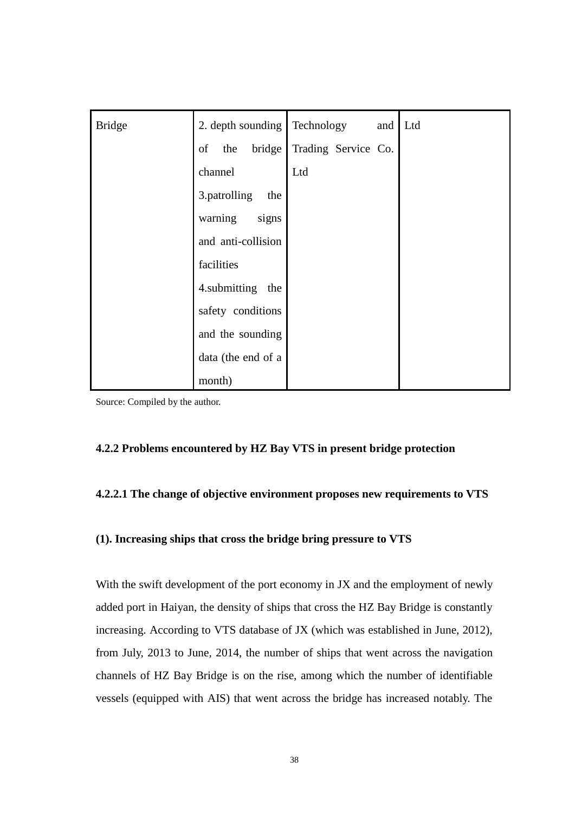| <b>Bridge</b> | 2. depth sounding Technology | and Ltd             |  |
|---------------|------------------------------|---------------------|--|
|               | of<br>the bridge             | Trading Service Co. |  |
|               | channel                      | Ltd                 |  |
|               | 3.patrolling<br>the          |                     |  |
|               | warning<br>signs             |                     |  |
|               | and anti-collision           |                     |  |
|               | facilities                   |                     |  |
|               | 4.submitting the             |                     |  |
|               | safety conditions            |                     |  |
|               | and the sounding             |                     |  |
|               | data (the end of a           |                     |  |
|               | month)                       |                     |  |

#### **4.2.2 Problems encountered by HZ Bay VTS in present bridge protection**

#### **4.2.2.1 The change of objective environment proposes new requirements to VTS**

#### **(1). Increasing ships that cross the bridge bring pressure to VTS**

With the swift development of the port economy in JX and the employment of newly added port in Haiyan, the density of ships that cross the HZ Bay Bridge is constantly increasing. According to VTS database of JX (which was established in June, 2012), from July, 2013 to June, 2014, the number of ships that went across the navigation channels of HZ Bay Bridge is on the rise, among which the number of identifiable vessels (equipped with AIS) that went across the bridge has increased notably. The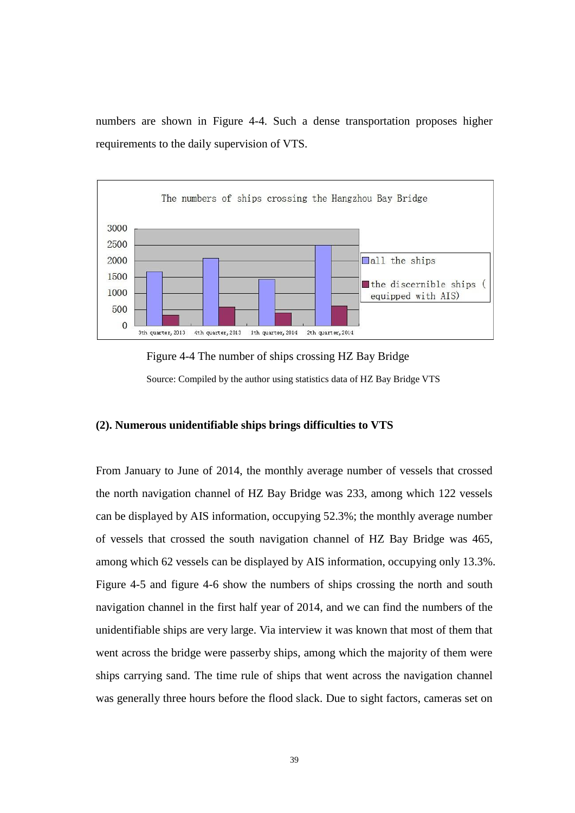numbers are shown in Figure 4-4. Such a dense transportation proposes higher requirements to the daily supervision of VTS.



Figure 4-4 The number of ships crossing HZ Bay Bridge Source: Compiled by the author using statistics data of HZ Bay Bridge VTS

#### **(2). Numerous unidentifiable ships brings difficulties to VTS**

From January to June of 2014, the monthly average number of vessels that crossed the north navigation channel of HZ Bay Bridge was 233, among which 122 vessels can be displayed by AIS information, occupying 52.3%; the monthly average number of vessels that crossed the south navigation channel of HZ Bay Bridge was 465, among which 62 vessels can be displayed by AIS information, occupying only 13.3%. Figure 4-5 and figure 4-6 show the numbers of ships crossing the north and south navigation channel in the first half year of 2014, and we can find the numbers of the unidentifiable ships are very large. Via interview it was known that most of them that went across the bridge were passerby ships, among which the majority of them were ships carrying sand. The time rule of ships that went across the navigation channel was generally three hours before the flood slack. Due to sight factors, cameras set on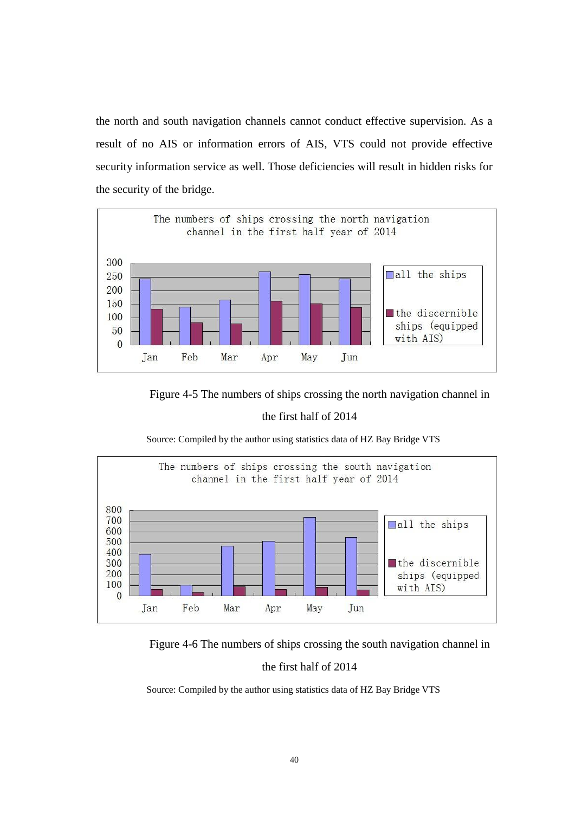the north and south navigation channels cannot conduct effective supervision. As a result of no AIS or information errors of AIS, VTS could not provide effective security information service as well. Those deficiencies will result in hidden risks for the security of the bridge.



Figure 4-5 The numbers of ships crossing the north navigation channel in

#### the first half of 2014

Source: Compiled by the author using statistics data of HZ Bay Bridge VTS



Figure 4-6 The numbers of ships crossing the south navigation channel in

#### the first half of 2014

Source: Compiled by the author using statistics data of HZ Bay Bridge VTS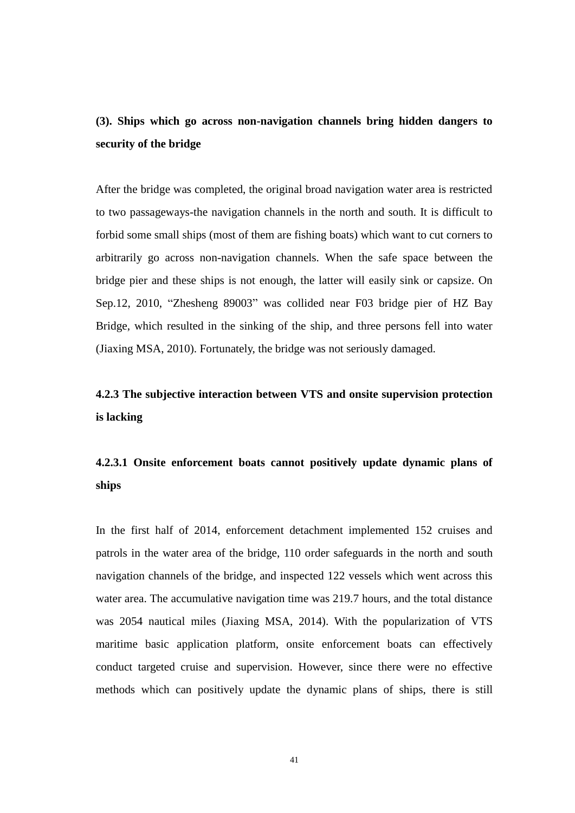### **(3). Ships which go across non-navigation channels bring hidden dangers to security of the bridge**

After the bridge was completed, the original broad navigation water area is restricted to two passageways-the navigation channels in the north and south. It is difficult to forbid some small ships (most of them are fishing boats) which want to cut corners to arbitrarily go across non-navigation channels. When the safe space between the bridge pier and these ships is not enough, the latter will easily sink or capsize. On Sep.12, 2010, "Zhesheng 89003" was collided near F03 bridge pier of HZ Bay Bridge, which resulted in the sinking of the ship, and three persons fell into water (Jiaxing MSA, 2010). Fortunately, the bridge was not seriously damaged.

### **4.2.3 The subjective interaction between VTS and onsite supervision protection is lacking**

### **4.2.3.1 Onsite enforcement boats cannot positively update dynamic plans of ships**

In the first half of 2014, enforcement detachment implemented 152 cruises and patrols in the water area of the bridge, 110 order safeguards in the north and south navigation channels of the bridge, and inspected 122 vessels which went across this water area. The accumulative navigation time was 219.7 hours, and the total distance was 2054 nautical miles (Jiaxing MSA, 2014). With the popularization of VTS maritime basic application platform, onsite enforcement boats can effectively conduct targeted cruise and supervision. However, since there were no effective methods which can positively update the dynamic plans of ships, there is still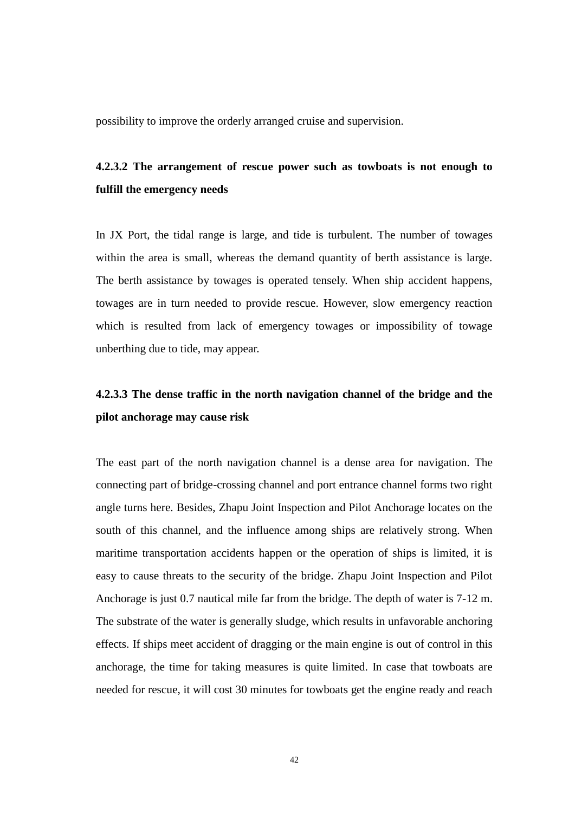possibility to improve the orderly arranged cruise and supervision.

### **4.2.3.2 The arrangement of rescue power such as towboats is not enough to fulfill the emergency needs**

In JX Port, the tidal range is large, and tide is turbulent. The number of towages within the area is small, whereas the demand quantity of berth assistance is large. The berth assistance by towages is operated tensely. When ship accident happens, towages are in turn needed to provide rescue. However, slow emergency reaction which is resulted from lack of emergency towages or impossibility of towage unberthing due to tide, may appear.

### **4.2.3.3 The dense traffic in the north navigation channel of the bridge and the pilot anchorage may cause risk**

The east part of the north navigation channel is a dense area for navigation. The connecting part of bridge-crossing channel and port entrance channel forms two right angle turns here. Besides, Zhapu Joint Inspection and Pilot Anchorage locates on the south of this channel, and the influence among ships are relatively strong. When maritime transportation accidents happen or the operation of ships is limited, it is easy to cause threats to the security of the bridge. Zhapu Joint Inspection and Pilot Anchorage is just 0.7 nautical mile far from the bridge. The depth of water is 7-12 m. The substrate of the water is generally sludge, which results in unfavorable anchoring effects. If ships meet accident of dragging or the main engine is out of control in this anchorage, the time for taking measures is quite limited. In case that towboats are needed for rescue, it will cost 30 minutes for towboats get the engine ready and reach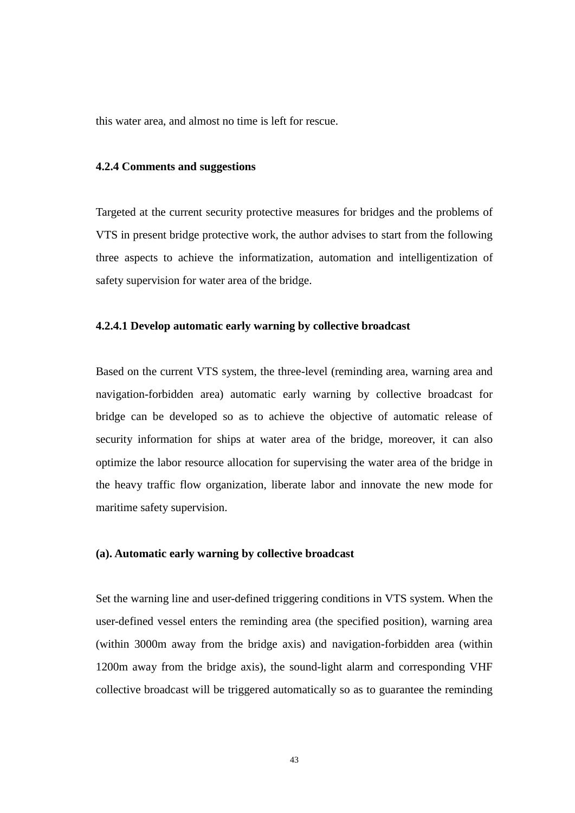this water area, and almost no time is left for rescue.

#### **4.2.4 Comments and suggestions**

Targeted at the current security protective measures for bridges and the problems of VTS in present bridge protective work, the author advises to start from the following three aspects to achieve the informatization, automation and intelligentization of safety supervision for water area of the bridge.

#### **4.2.4.1 Develop automatic early warning by collective broadcast**

Based on the current VTS system, the three-level (reminding area, warning area and navigation-forbidden area) automatic early warning by collective broadcast for bridge can be developed so as to achieve the objective of automatic release of security information for ships at water area of the bridge, moreover, it can also optimize the labor resource allocation for supervising the water area of the bridge in the heavy traffic flow organization, liberate labor and innovate the new mode for maritime safety supervision.

#### **(a). Automatic early warning by collective broadcast**

Set the warning line and user-defined triggering conditions in VTS system. When the user-defined vessel enters the reminding area (the specified position), warning area (within 3000m away from the bridge axis) and navigation-forbidden area (within 1200m away from the bridge axis), the sound-light alarm and corresponding VHF collective broadcast will be triggered automatically so as to guarantee the reminding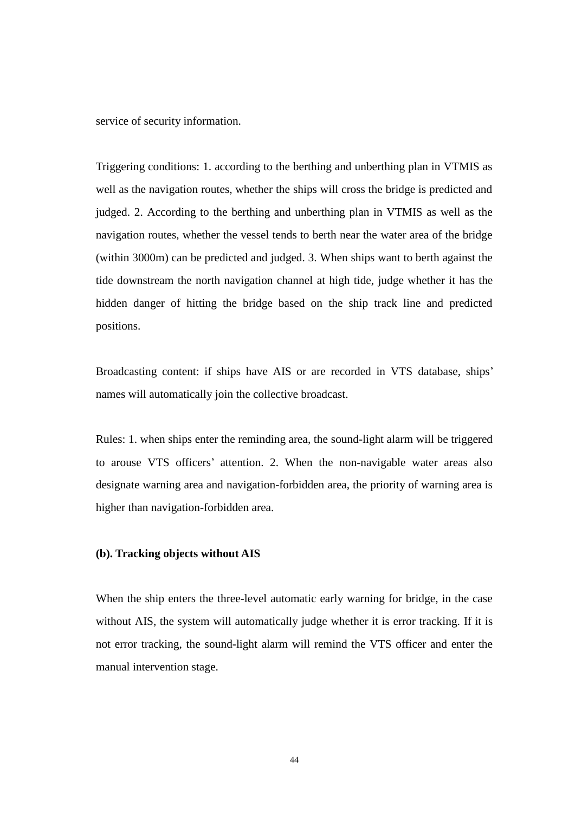service of security information.

Triggering conditions: 1. according to the berthing and unberthing plan in VTMIS as well as the navigation routes, whether the ships will cross the bridge is predicted and judged. 2. According to the berthing and unberthing plan in VTMIS as well as the navigation routes, whether the vessel tends to berth near the water area of the bridge (within 3000m) can be predicted and judged. 3. When ships want to berth against the tide downstream the north navigation channel at high tide, judge whether it has the hidden danger of hitting the bridge based on the ship track line and predicted positions.

Broadcasting content: if ships have AIS or are recorded in VTS database, ships' names will automatically join the collective broadcast.

Rules: 1. when ships enter the reminding area, the sound-light alarm will be triggered to arouse VTS officers" attention. 2. When the non-navigable water areas also designate warning area and navigation-forbidden area, the priority of warning area is higher than navigation-forbidden area.

#### **(b). Tracking objects without AIS**

When the ship enters the three-level automatic early warning for bridge, in the case without AIS, the system will automatically judge whether it is error tracking. If it is not error tracking, the sound-light alarm will remind the VTS officer and enter the manual intervention stage.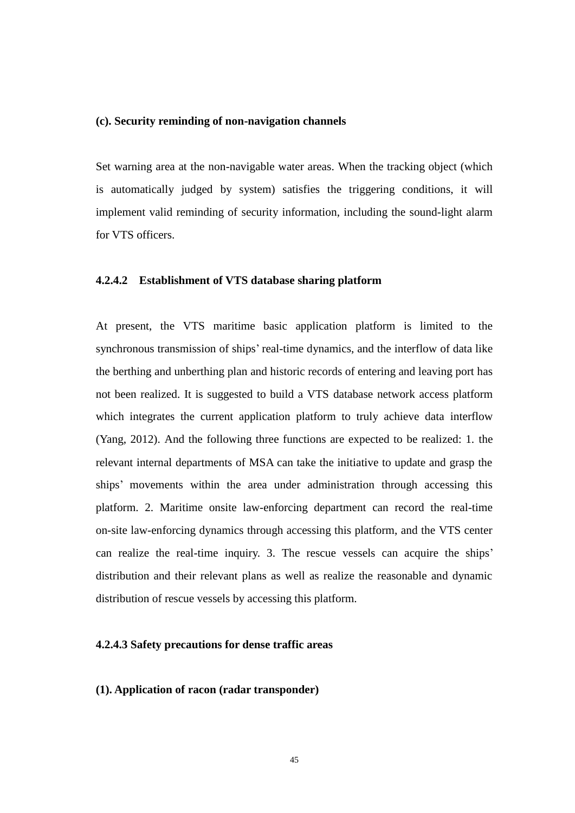#### **(c). Security reminding of non-navigation channels**

Set warning area at the non-navigable water areas. When the tracking object (which is automatically judged by system) satisfies the triggering conditions, it will implement valid reminding of security information, including the sound-light alarm for VTS officers.

#### **4.2.4.2 Establishment of VTS database sharing platform**

At present, the VTS maritime basic application platform is limited to the synchronous transmission of ships' real-time dynamics, and the interflow of data like the berthing and unberthing plan and historic records of entering and leaving port has not been realized. It is suggested to build a VTS database network access platform which integrates the current application platform to truly achieve data interflow (Yang, 2012). And the following three functions are expected to be realized: 1. the relevant internal departments of MSA can take the initiative to update and grasp the ships" movements within the area under administration through accessing this platform. 2. Maritime onsite law-enforcing department can record the real-time on-site law-enforcing dynamics through accessing this platform, and the VTS center can realize the real-time inquiry. 3. The rescue vessels can acquire the ships' distribution and their relevant plans as well as realize the reasonable and dynamic distribution of rescue vessels by accessing this platform.

#### **4.2.4.3 Safety precautions for dense traffic areas**

#### **(1). Application of racon (radar transponder)**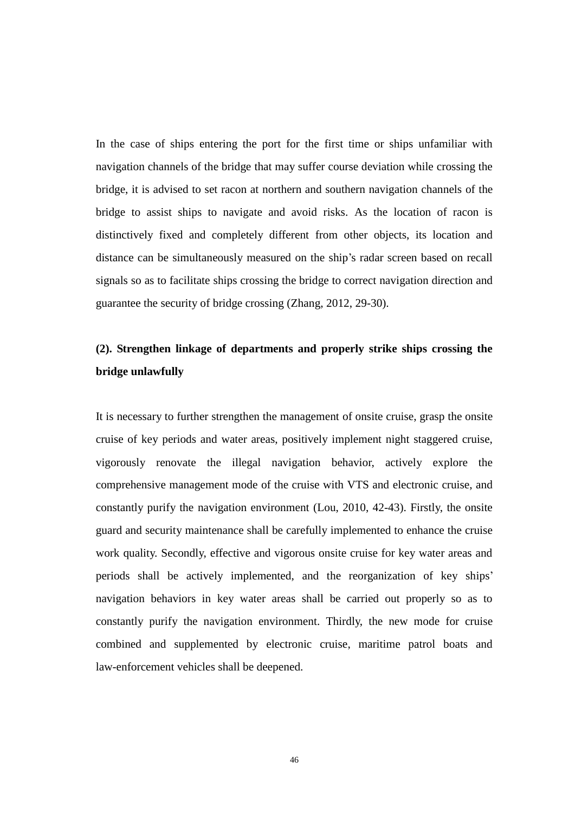In the case of ships entering the port for the first time or ships unfamiliar with navigation channels of the bridge that may suffer course deviation while crossing the bridge, it is advised to set racon at northern and southern navigation channels of the bridge to assist ships to navigate and avoid risks. As the location of racon is distinctively fixed and completely different from other objects, its location and distance can be simultaneously measured on the ship"s radar screen based on recall signals so as to facilitate ships crossing the bridge to correct navigation direction and guarantee the security of bridge crossing (Zhang, 2012, 29-30).

### **(2). Strengthen linkage of departments and properly strike ships crossing the bridge unlawfully**

It is necessary to further strengthen the management of onsite cruise, grasp the onsite cruise of key periods and water areas, positively implement night staggered cruise, vigorously renovate the illegal navigation behavior, actively explore the comprehensive management mode of the cruise with VTS and electronic cruise, and constantly purify the navigation environment (Lou, 2010, 42-43). Firstly, the onsite guard and security maintenance shall be carefully implemented to enhance the cruise work quality. Secondly, effective and vigorous onsite cruise for key water areas and periods shall be actively implemented, and the reorganization of key ships" navigation behaviors in key water areas shall be carried out properly so as to constantly purify the navigation environment. Thirdly, the new mode for cruise combined and supplemented by electronic cruise, maritime patrol boats and law-enforcement vehicles shall be deepened.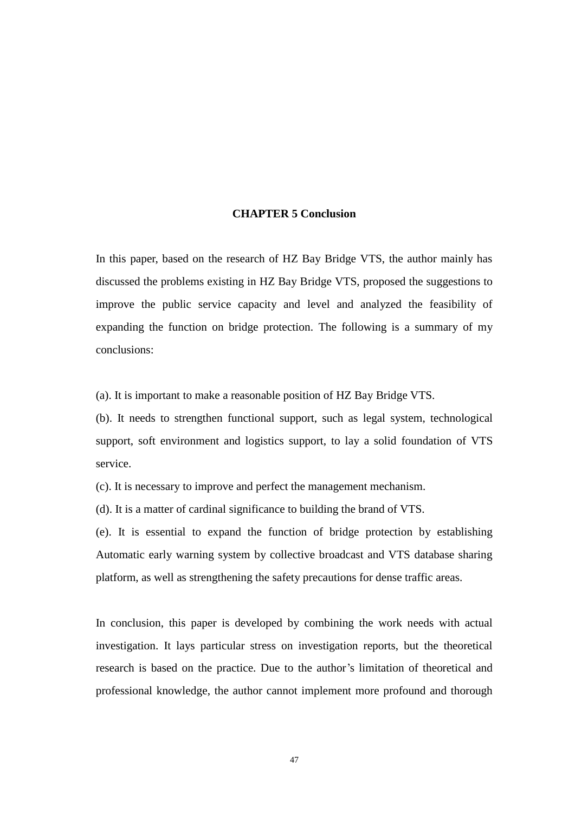#### **CHAPTER 5 Conclusion**

In this paper, based on the research of HZ Bay Bridge VTS, the author mainly has discussed the problems existing in HZ Bay Bridge VTS, proposed the suggestions to improve the public service capacity and level and analyzed the feasibility of expanding the function on bridge protection. The following is a summary of my conclusions:

(a). It is important to make a reasonable position of HZ Bay Bridge VTS.

(b). It needs to strengthen functional support, such as legal system, technological support, soft environment and logistics support, to lay a solid foundation of VTS service.

(c). It is necessary to improve and perfect the management mechanism.

(d). It is a matter of cardinal significance to building the brand of VTS.

(e). It is essential to expand the function of bridge protection by establishing Automatic early warning system by collective broadcast and VTS database sharing platform, as well as strengthening the safety precautions for dense traffic areas.

In conclusion, this paper is developed by combining the work needs with actual investigation. It lays particular stress on investigation reports, but the theoretical research is based on the practice. Due to the author"s limitation of theoretical and professional knowledge, the author cannot implement more profound and thorough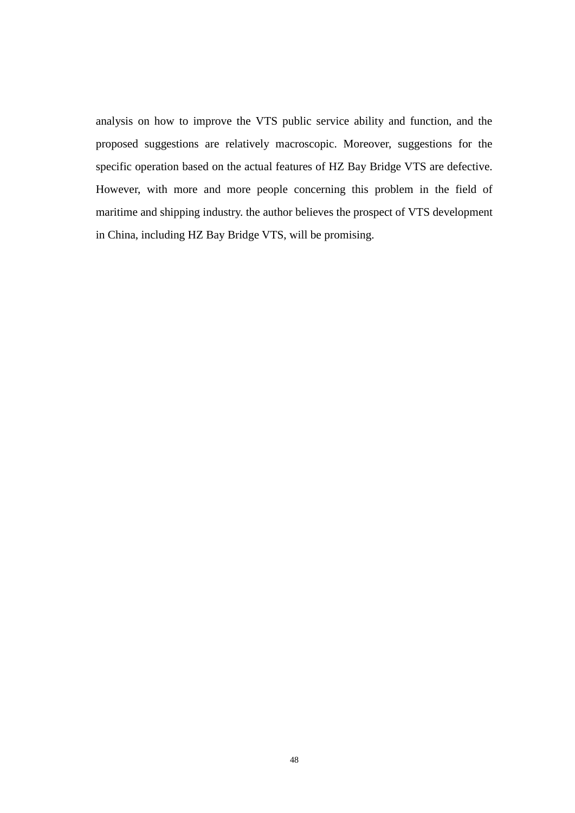analysis on how to improve the VTS public service ability and function, and the proposed suggestions are relatively macroscopic. Moreover, suggestions for the specific operation based on the actual features of HZ Bay Bridge VTS are defective. However, with more and more people concerning this problem in the field of maritime and shipping industry. the author believes the prospect of VTS development in China, including HZ Bay Bridge VTS, will be promising.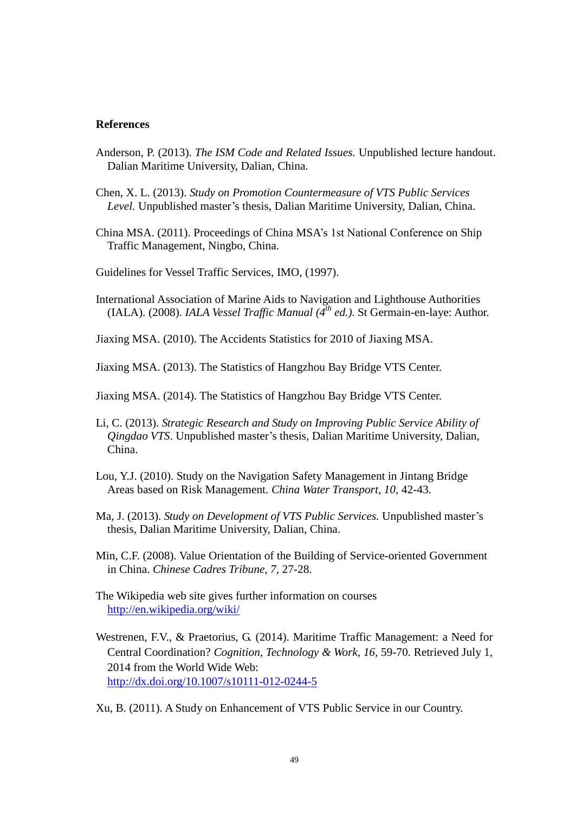#### **References**

- Anderson, P. (2013). *The ISM Code and Related Issues.* Unpublished lecture handout. Dalian Maritime University, Dalian, China.
- Chen, X. L. (2013). *Study on Promotion Countermeasure of VTS Public Services Level.* Unpublished master's thesis, Dalian Maritime University, Dalian, China.
- China MSA. (2011). Proceedings of China MSA"s 1st National Conference on Ship Traffic Management, Ningbo, China.
- Guidelines for Vessel Traffic Services, IMO, (1997).
- International Association of Marine Aids to Navigation and Lighthouse Authorities (IALA). (2008). *IALA Vessel Traffic Manual (4th ed.)*. St Germain-en-laye: Author.
- Jiaxing MSA. (2010). The Accidents Statistics for 2010 of Jiaxing MSA.
- Jiaxing MSA. (2013). The Statistics of Hangzhou Bay Bridge VTS Center.
- Jiaxing MSA. (2014). The Statistics of Hangzhou Bay Bridge VTS Center.
- Li, C. (2013). *Strategic Research and Study on Improving Public Service Ability of Qingdao VTS*. Unpublished master's thesis, Dalian Maritime University, Dalian, China.
- Lou, Y.J. (2010). Study on the Navigation Safety Management in Jintang Bridge Areas based on Risk Management. *China Water Transport, 10,* 42-43.
- Ma, J. (2013). *Study on Development of VTS Public Services.* Unpublished master"s thesis, Dalian Maritime University, Dalian, China.
- Min, C.F. (2008). Value Orientation of the Building of Service-oriented Government in China. *Chinese Cadres Tribune, 7,* 27-28.
- The Wikipedia web site gives further information on courses [http://en.wikipedia.org/wiki/](http://en.wikipedia.org/wiki/Service)
- Westrenen, F.V., & Praetorius, G. (2014). Maritime Traffic Management: a Need for Central Coordination? *Cognition, Technology & Work, 16,* 59-70. Retrieved July 1, 2014 from the World Wide Web: <http://dx.doi.org/10.1007/s10111-012-0244-5>

Xu, B. (2011). A Study on Enhancement of VTS Public Service in our Country.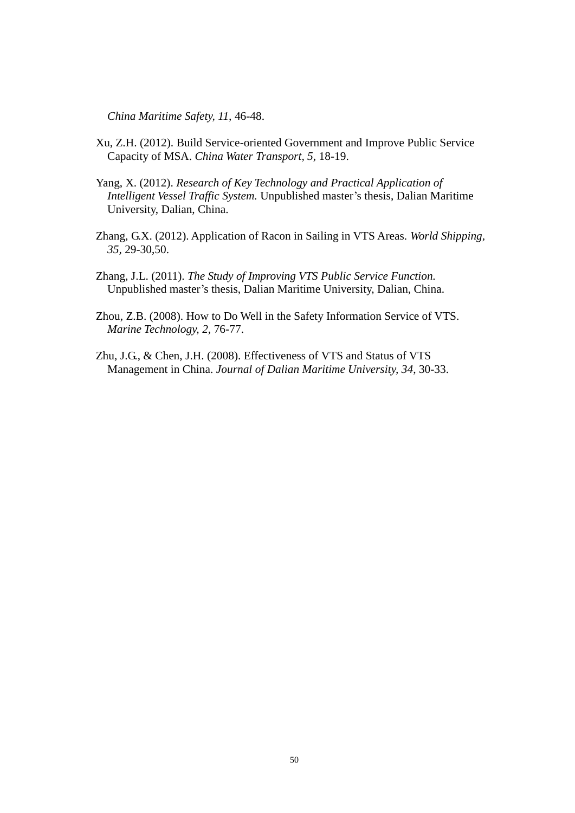*China Maritime Safety, 11,* 46-48.

- Xu, Z.H. (2012). Build Service-oriented Government and Improve Public Service Capacity of MSA. *China Water Transport, 5,* 18-19.
- Yang, X. (2012). *Research of Key Technology and Practical Application of Intelligent Vessel Traffic System.* Unpublished master's thesis, Dalian Maritime University, Dalian, China.
- Zhang, G.X. (2012). Application of Racon in Sailing in VTS Areas. *World Shipping, 35,* 29-30,50.
- Zhang, J.L. (2011). *The Study of Improving VTS Public Service Function.*  Unpublished master"s thesis, Dalian Maritime University, Dalian, China.
- Zhou, Z.B. (2008). How to Do Well in the Safety Information Service of VTS. *Marine Technology, 2,* 76-77.
- Zhu, J.G., & Chen, J.H. (2008). Effectiveness of VTS and Status of VTS Management in China. *Journal of Dalian Maritime University, 34*, 30-33.